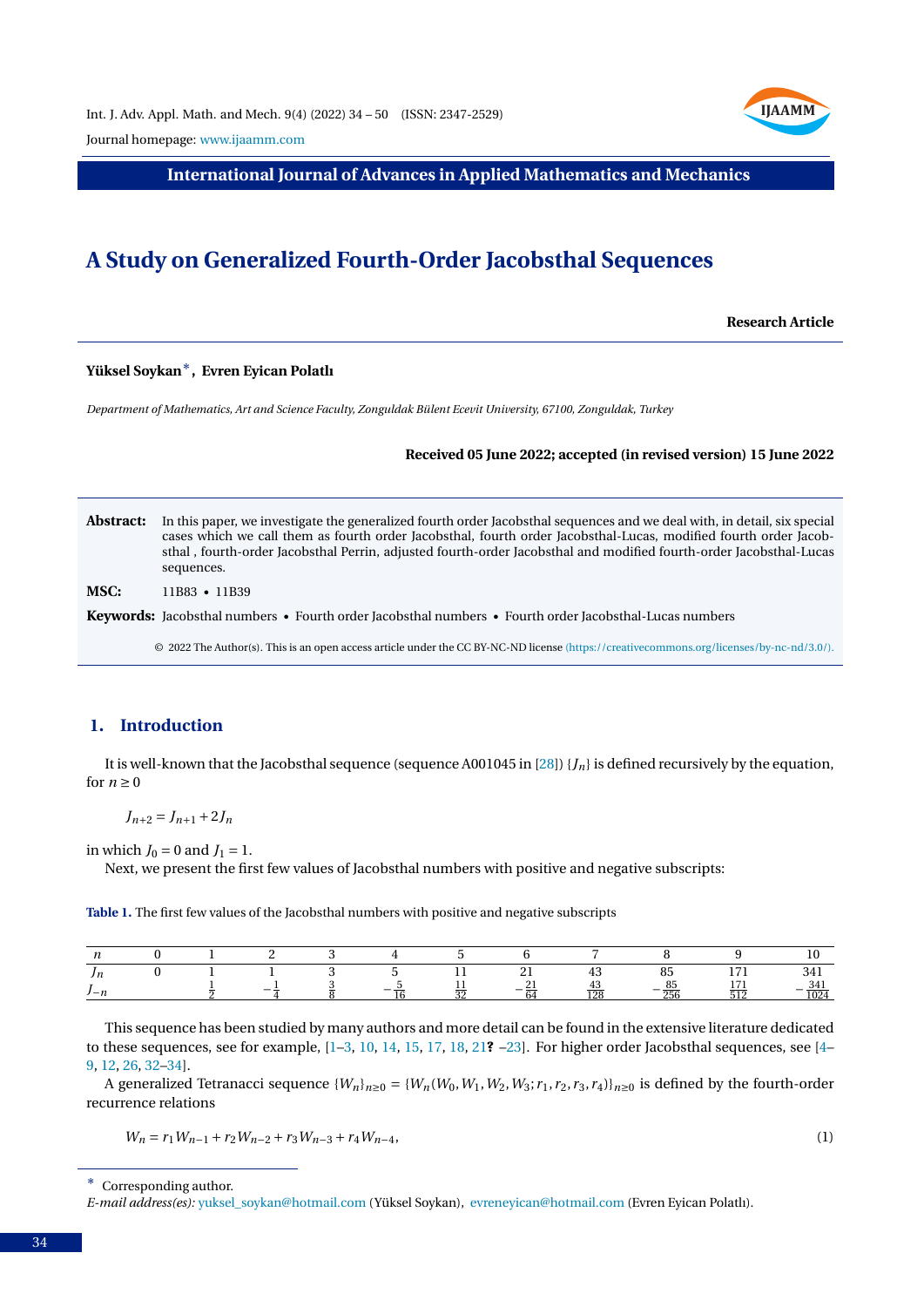

Journal homepage: [www.ijaamm.com](http://www.ijaamm.com/)

**International Journal of Advances in Applied Mathematics and Mechanics**

# **A Study on Generalized Fourth-Order Jacobsthal Sequences**

**Research Article**

## **Yüksel Soykan**∗**, Evren Eyican Polatlı**

*Department of Mathematics, Art and Science Faculty, Zonguldak Bülent Ecevit University, 67100, Zonguldak, Turkey*

#### **Received 05 June 2022; accepted (in revised version) 15 June 2022**

Abstract: In this paper, we investigate the generalized fourth order Jacobsthal sequences and we deal with, in detail, six special cases which we call them as fourth order Jacobsthal, fourth order Jacobsthal-Lucas, modified fourth order Jacobsthal , fourth-order Jacobsthal Perrin, adjusted fourth-order Jacobsthal and modified fourth-order Jacobsthal-Lucas sequences.

**MSC:** 11B83 • 11B39

**Keywords:** Jacobsthal numbers • Fourth order Jacobsthal numbers • Fourth order Jacobsthal-Lucas numbers

© 2022 The Author(s). This is an open access article under the CC BY-NC-ND license [\(https://creativecommons.org/licenses/by-nc-nd/3.0/\).](https://creativecommons.org/licenses/by-nc-nd/3.0/)

#### **1. Introduction**

It is well-known that the Jacobsthal sequence (sequence A001045 in [\[28\]](#page-16-0))  $\{J_n\}$  is defined recursively by the equation, for  $n > 0$ 

 $J_{n+2} = J_{n+1} + 2J_n$ 

in which  $J_0 = 0$  and  $J_1 = 1$ .

Next, we present the first few values of Jacobsthal numbers with positive and negative subscripts:

**Table 1.** The first few values of the Jacobsthal numbers with positive and negative subscripts

| $\cdot$ $\cdot$   |  |    |  | <u>_</u> | ≖⊾  | υJ           | . | .              |
|-------------------|--|----|--|----------|-----|--------------|---|----------------|
| $\prime - \prime$ |  | -- |  | $-$      | 14J | n-<br>$\sim$ | ັ | ______<br>1045 |

This sequence has been studied by many authors and more detail can be found in the extensive literature dedicated to these sequences, see for example, [\[1–](#page-15-0)[3,](#page-15-1) [10,](#page-15-2) [14,](#page-15-3) [15,](#page-15-4) [17,](#page-15-5) [18,](#page-16-1) [21](#page-16-2)**?** [–23\]](#page-16-3). For higher order Jacobsthal sequences, see [\[4–](#page-15-6) [9,](#page-15-7) [12,](#page-15-8) [26,](#page-16-4) [32–](#page-16-5)[34\]](#page-16-6).

A generalized Tetranacci sequence  $\{W_n\}_{n\geq 0} = \{W_n(W_0, W_1, W_2, W_3; r_1, r_2, r_3, r_4\}\}_{n\geq 0}$  is defined by the fourth-order recurrence relations

<span id="page-0-0"></span>
$$
W_n = r_1 W_{n-1} + r_2 W_{n-2} + r_3 W_{n-3} + r_4 W_{n-4},
$$
\n(1)

<sup>∗</sup> Corresponding author.

*E-mail address(es):* [yuksel\\_soykan@hotmail.com](mailto:yuksel_soykan@hotmail.com) (Yüksel Soykan), [evreneyican@hotmail.com](mailto:evreneyican@hotmail.com) (Evren Eyican Polatlı).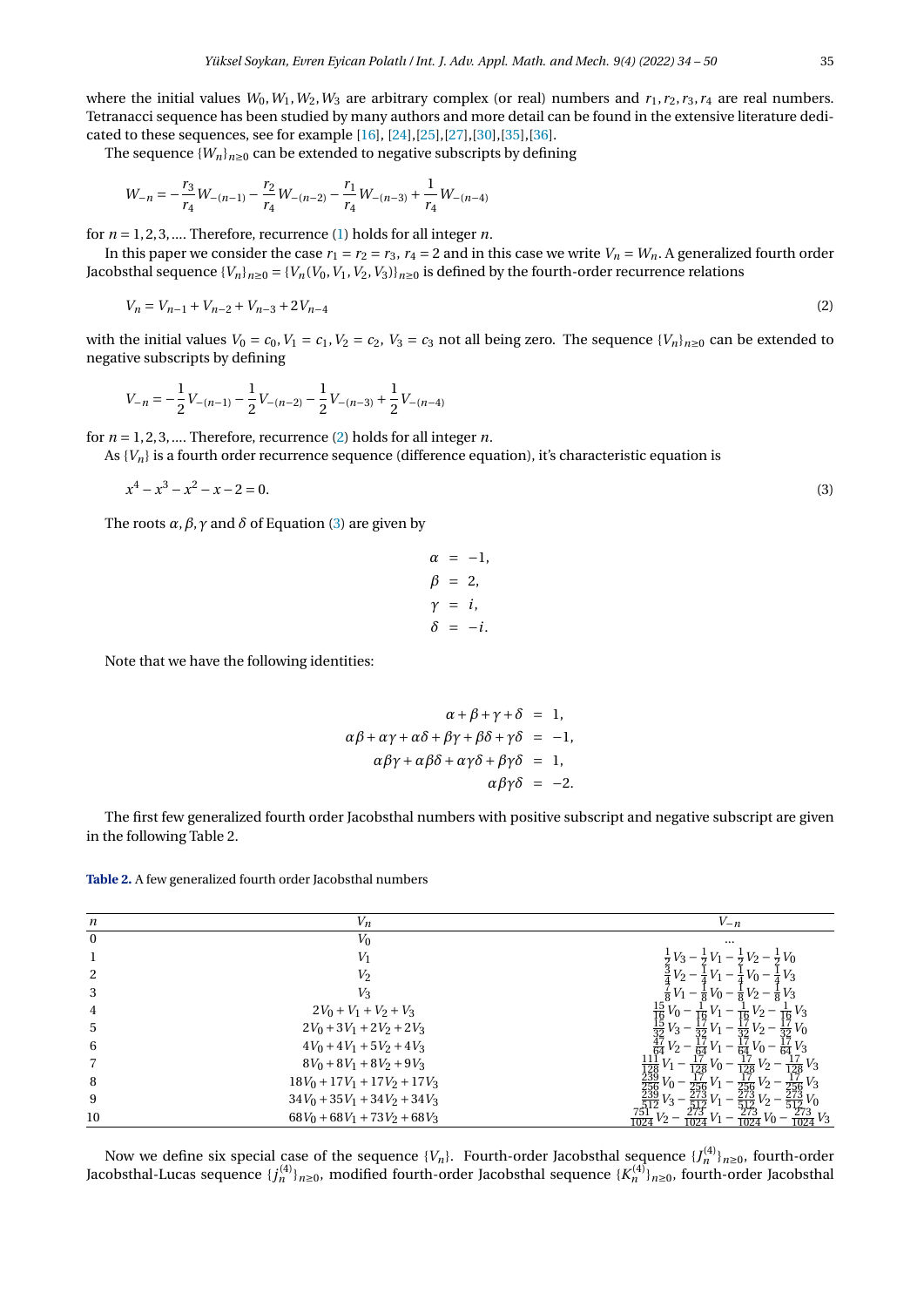where the initial values  $W_0, W_1, W_2, W_3$  are arbitrary complex (or real) numbers and  $r_1, r_2, r_3, r_4$  are real numbers. Tetranacci sequence has been studied by many authors and more detail can be found in the extensive literature dedicated to these sequences, see for example [\[16\]](#page-15-9), [\[24\]](#page-16-7),[\[25\]](#page-16-8),[\[27\]](#page-16-9),[\[30\]](#page-16-10),[\[35\]](#page-16-11),[\[36\]](#page-16-12).

The sequence  ${W_n}_{n\geq0}$  can be extended to negative subscripts by defining

$$
W_{-n} = -\frac{r_3}{r_4}W_{-(n-1)} - \frac{r_2}{r_4}W_{-(n-2)} - \frac{r_1}{r_4}W_{-(n-3)} + \frac{1}{r_4}W_{-(n-4)}
$$

for  $n = 1, 2, 3, \dots$  Therefore, recurrence [\(1\)](#page-0-0) holds for all integer *n*.

In this paper we consider the case  $r_1 = r_2 = r_3$ ,  $r_4 = 2$  and in this case we write  $V_n = W_n$ . A generalized fourth order Jacobsthal sequence  $\{V_n\}_{n\geq 0} = \{V_n(V_0, V_1, V_2, V_3)\}_{n\geq 0}$  is defined by the fourth-order recurrence relations

$$
V_n = V_{n-1} + V_{n-2} + V_{n-3} + 2V_{n-4}
$$
\n<sup>(2)</sup>

with the initial values  $V_0 = c_0$ ,  $V_1 = c_1$ ,  $V_2 = c_2$ ,  $V_3 = c_3$  not all being zero. The sequence  $\{V_n\}_{n\geq 0}$  can be extended to negative subscripts by defining

$$
V_{-n} = -\frac{1}{2}V_{-(n-1)} - \frac{1}{2}V_{-(n-2)} - \frac{1}{2}V_{-(n-3)} + \frac{1}{2}V_{-(n-4)}
$$

for  $n = 1, 2, 3, \dots$  Therefore, recurrence [\(2\)](#page-1-0) holds for all integer *n*.

As  ${V_n}$  is a fourth order recurrence sequence (difference equation), it's characteristic equation is

$$
x^4 - x^3 - x^2 - x - 2 = 0.\tag{3}
$$

The roots  $\alpha$ ,  $\beta$ ,  $\gamma$  and  $\delta$  of Equation [\(3\)](#page-1-1) are given by

$$
\alpha = -1,
$$
  
\n
$$
\beta = 2,
$$
  
\n
$$
\gamma = i,
$$
  
\n
$$
\delta = -i.
$$

Note that we have the following identities:

$$
\alpha + \beta + \gamma + \delta = 1,
$$
  
\n
$$
\alpha\beta + \alpha\gamma + \alpha\delta + \beta\gamma + \beta\delta + \gamma\delta = -1,
$$
  
\n
$$
\alpha\beta\gamma + \alpha\beta\delta + \alpha\gamma\delta + \beta\gamma\delta = 1,
$$
  
\n
$$
\alpha\beta\gamma\delta = -2.
$$

The first few generalized fourth order Jacobsthal numbers with positive subscript and negative subscript are given in the following Table 2.

**Table 2.** A few generalized fourth order Jacobsthal numbers

| n            | $V_n$                           | $V_{-n}$                                                                                                                             |
|--------------|---------------------------------|--------------------------------------------------------------------------------------------------------------------------------------|
| $\mathbf{0}$ | $V_0$                           | $\cdots$                                                                                                                             |
|              |                                 |                                                                                                                                      |
| 2            | V2                              | Vз<br>V٥<br>÷ Vo                                                                                                                     |
| 3            | $V_3$                           | Vз                                                                                                                                   |
| 4            | $2V_0 + V_1 + V_2 + V_3$        | V٥                                                                                                                                   |
| 5            | $2V_0 + 3V_1 + 2V_2 + 2V_3$     | V٥                                                                                                                                   |
| 6            | $4V_0 + 4V_1 + 5V_2 + 4V_3$     | Vo<br>πā                                                                                                                             |
|              | $8V_0 + 8V_1 + 8V_2 + 9V_3$     | Vą<br>$V_2$<br>$\overline{128}$<br>128<br>$\overline{128}$                                                                           |
| 8            | $18V_0 + 17V_1 + 17V_2 + 17V_3$ | $V_2$ –<br>$V_0$<br>$\frac{17}{256}V_3$<br>256                                                                                       |
| 9            | $34V_0 + 35V_1 + 34V_2 + 34V_3$ | $\frac{111}{128}$<br>$\frac{239}{256}$<br>$\frac{239}{239}$<br>$\frac{239}{512}$<br>$\frac{273}{512}V_0$<br>$\frac{273}{512}$<br>512 |
| 10           | $68V_0 + 68V_1 + 73V_2 + 68V_3$ | 751<br>273<br>$\frac{273}{1024}V_3$<br>$V_0$<br>1024<br>1024<br>1024                                                                 |

Now we define six special case of the sequence  $\{V_n\}$ . Fourth-order Jacobsthal sequence  $\{J_n^{(4)}\}_{n\geq0}$ , fourth-order Jacobsthal-Lucas sequence { $j_n^{(4)}\}_{n≥0}$ , modified fourth-order Jacobsthal sequence {K $_n^{(4)}\}_{n≥0}$ , fourth-order Jacobsthal

<span id="page-1-1"></span><span id="page-1-0"></span>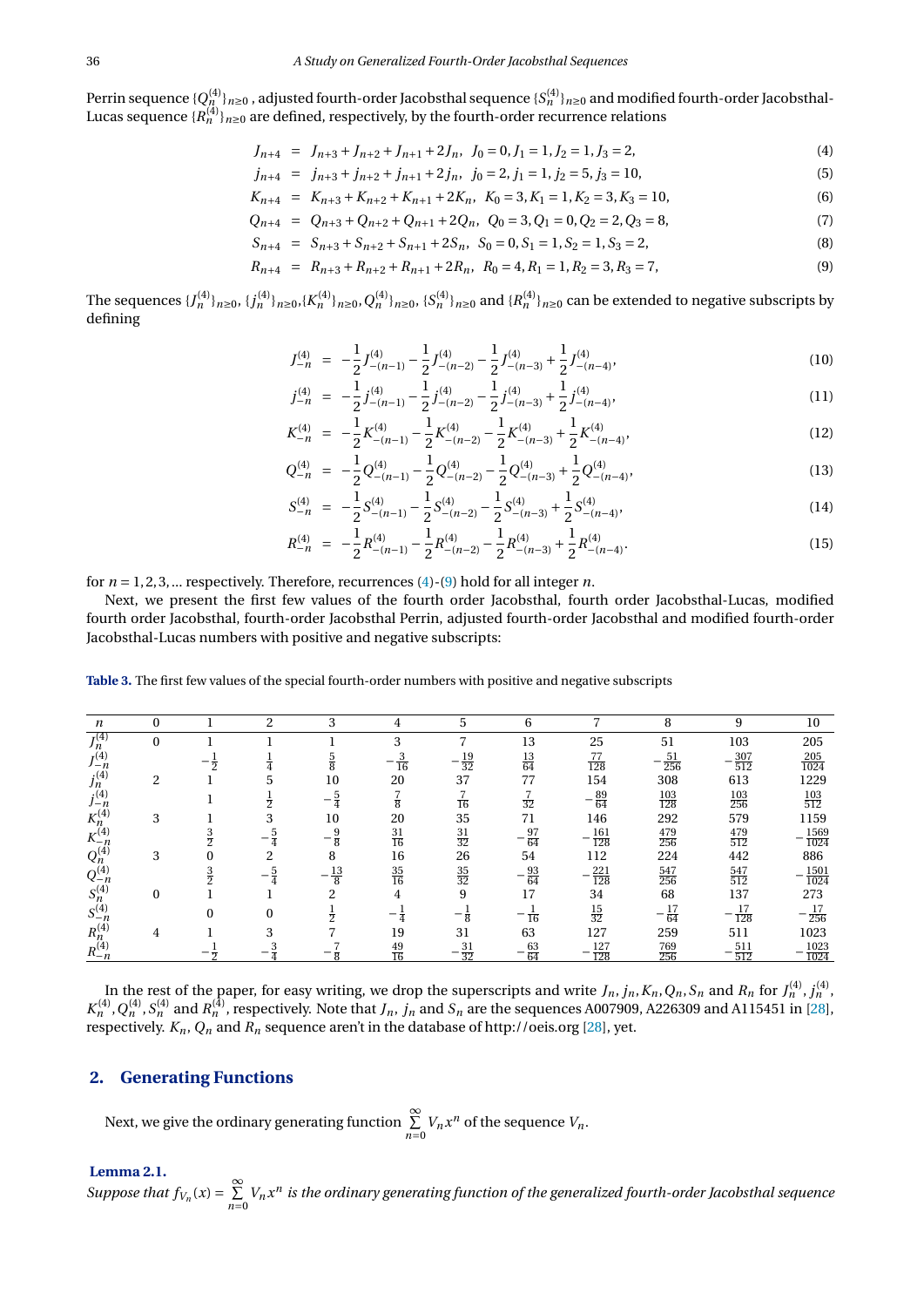Perrin sequence { $Q^{(4)}_{n}$ } $_{n\geq0}$  , adjusted fourth-order Jacobsthal sequence { $S^{(4)}_{n}$ } $_{n\geq0}$  and modified fourth-order Jacobsthal-Lucas sequence  $\{R_n^{(4)}\}_{n\geq 0}$  are defined, respectively, by the fourth-order recurrence relations

<span id="page-2-0"></span>
$$
J_{n+4} = J_{n+3} + J_{n+2} + J_{n+1} + 2J_n, \ J_0 = 0, J_1 = 1, J_2 = 1, J_3 = 2,
$$
\n<sup>(4)</sup>

$$
j_{n+4} = j_{n+3} + j_{n+2} + j_{n+1} + 2j_n, \ \ j_0 = 2, j_1 = 1, j_2 = 5, j_3 = 10,
$$
\n<sup>(5)</sup>

$$
K_{n+4} = K_{n+3} + K_{n+2} + K_{n+1} + 2K_n, K_0 = 3, K_1 = 1, K_2 = 3, K_3 = 10,
$$
\n
$$
(6)
$$

$$
Q_{n+4} = Q_{n+3} + Q_{n+2} + Q_{n+1} + 2Q_n, \ Q_0 = 3, Q_1 = 0, Q_2 = 2, Q_3 = 8,
$$
\n<sup>(7)</sup>

$$
S_{n+4} = S_{n+3} + S_{n+2} + S_{n+1} + 2S_n, \ S_0 = 0, S_1 = 1, S_2 = 1, S_3 = 2,
$$
\n(8)

$$
R_{n+4} = R_{n+3} + R_{n+2} + R_{n+1} + 2R_n, \ R_0 = 4, R_1 = 1, R_2 = 3, R_3 = 7,
$$
\n(9)

The sequences  $\{J_n^{(4)}\}_{n\geq0},$   $\{j_n^{(4)}\}_{n\geq0},$   $\{K_n^{(4)}\}_{n\geq0},$   $Q_n^{(4)}\}_{n\geq0},$   $\{S_n^{(4)}\}_{n\geq0}$  and  $\{R_n^{(4)}\}_{n\geq0}$  can be extended to negative subscripts by defining

$$
J_{-n}^{(4)} = -\frac{1}{2}J_{-(n-1)}^{(4)} - \frac{1}{2}J_{-(n-2)}^{(4)} - \frac{1}{2}J_{-(n-3)}^{(4)} + \frac{1}{2}J_{-(n-4)}^{(4)},
$$
\n(10)

$$
j_{-n}^{(4)} = -\frac{1}{2}j_{-(n-1)}^{(4)} - \frac{1}{2}j_{-(n-2)}^{(4)} - \frac{1}{2}j_{-(n-3)}^{(4)} + \frac{1}{2}j_{-(n-4)}^{(4)},
$$
\n(11)

$$
K_{-n}^{(4)} = -\frac{1}{2} K_{-(n-1)}^{(4)} - \frac{1}{2} K_{-(n-2)}^{(4)} - \frac{1}{2} K_{-(n-3)}^{(4)} + \frac{1}{2} K_{-(n-4)}^{(4)},
$$
\n(12)

$$
Q_{-n}^{(4)} = -\frac{1}{2}Q_{-(n-1)}^{(4)} - \frac{1}{2}Q_{-(n-2)}^{(4)} - \frac{1}{2}Q_{-(n-3)}^{(4)} + \frac{1}{2}Q_{-(n-4)}^{(4)},
$$
\n(13)

$$
S_{-n}^{(4)} = -\frac{1}{2}S_{-(n-1)}^{(4)} - \frac{1}{2}S_{-(n-2)}^{(4)} - \frac{1}{2}S_{-(n-3)}^{(4)} + \frac{1}{2}S_{-(n-4)}^{(4)},
$$
\n(14)

$$
R_{-n}^{(4)} = -\frac{1}{2}R_{-(n-1)}^{(4)} - \frac{1}{2}R_{-(n-2)}^{(4)} - \frac{1}{2}R_{-(n-3)}^{(4)} + \frac{1}{2}R_{-(n-4)}^{(4)}.
$$
 (15)

for  $n = 1, 2, 3, \dots$  respectively. Therefore, recurrences [\(4\)](#page-2-0)-[\(9\)](#page-2-0) hold for all integer *n*.

Next, we present the first few values of the fourth order Jacobsthal, fourth order Jacobsthal-Lucas, modified fourth order Jacobsthal, fourth-order Jacobsthal Perrin, adjusted fourth-order Jacobsthal and modified fourth-order Jacobsthal-Lucas numbers with positive and negative subscripts:

**Table 3.** The first few values of the special fourth-order numbers with positive and negative subscripts

| n                               |   | റ | 3  |                 |                       | 6                |                    | 8                 | 9                 | 10                  |
|---------------------------------|---|---|----|-----------------|-----------------------|------------------|--------------------|-------------------|-------------------|---------------------|
| $J_n^{(4)}$                     |   |   |    | 3               |                       | 13               | 25                 | 51                | 103               | 205                 |
| $J_{-n}^{(4)}$                  |   |   |    | 16              | $\frac{19}{32}$       | $\frac{13}{64}$  | 77<br>128          | 51<br>256         | $\frac{307}{512}$ | 205<br>1024         |
|                                 | ◠ |   | 10 | 20              | 37                    | 77               | 154                | 308               | 613               | 1229                |
| $j_{n}^{(4)}$<br>$j_{-n}^{(4)}$ |   |   |    | ឨ               | $\overline{16}$       | $\overline{32}$  | $-\frac{89}{64}$   | $\frac{103}{128}$ | $\frac{103}{256}$ | $\frac{103}{512}$   |
|                                 | 3 |   | 10 | 20              | 35                    | 71               | 146                | 292               | 579               | 1159                |
| $K_{n}^{(4)}$<br>$K_{-n}^{(4)}$ |   |   | g  | $\frac{31}{16}$ | $\frac{31}{32}$       | $-\frac{97}{64}$ | $-\frac{161}{128}$ | $\frac{479}{256}$ | $\frac{479}{512}$ | $\frac{1569}{1024}$ |
| $Q_n^{(4)}$                     | 3 |   | 8  | 16              | 26                    | 54               | 112                | 224               | 442               | 886                 |
| $Q_{-n}^{(4)}$                  |   |   | 13 | $\frac{35}{16}$ | $\frac{35}{32}$       | $-\frac{93}{64}$ | $\frac{221}{128}$  | $\frac{547}{256}$ | $\frac{547}{512}$ | $\frac{1501}{1024}$ |
| $S_n^{(4)}$                     |   |   |    | 4               | 9                     | 17               | 34                 | 68                | 137               | 273                 |
| $S_{-n}^{(4)}$                  |   |   |    |                 |                       | $\overline{16}$  | $\frac{15}{32}$    | $-\frac{17}{64}$  | $\frac{17}{128}$  | $\frac{17}{256}$    |
| $R_n^{(4)}$                     |   |   |    | 19              | 31                    | 63               | 127                | 259               | 511               | 1023                |
| $R_{-n}^{(4)}$                  |   |   |    | 49<br>16        | 31<br>$\overline{32}$ | 63<br>64         | 127<br>128         | 769<br>256        | 511<br>512        | 1023<br>1024        |

In the rest of the paper, for easy writing, we drop the superscripts and write  $J_n$ ,  $j_n$ ,  $K_n$ ,  $Q_n$ ,  $S_n$  and  $R_n$  for  $J_n^{(4)}$ ,  $j_n^{(4)}$ ,  $K_n^{(4)}, Q_n^{(4)}, S_n^{(4)}$  and  $R_n^{(4)}$ , respectively. Note that  $J_n, j_n$  and  $S_n$  are the sequences A007909, A226309 and A115451 in [\[28\]](#page-16-0), respectively. *Kn*, *Q<sup>n</sup>* and *R<sup>n</sup>* sequence aren't in the database of http://oeis.org [\[28\]](#page-16-0), yet.

## **2. Generating Functions**

Next, we give the ordinary generating function  $\sum_{n=0}^{\infty} V_n x^n$  of the sequence  $V_n$ .

## **Lemma 2.1.**

*Suppose that*  $f_{V_n}(x) = \sum_{n=0}^{\infty} V_n x^n$  is the ordinary generating function of the generalized fourth-order Jacobsthal sequence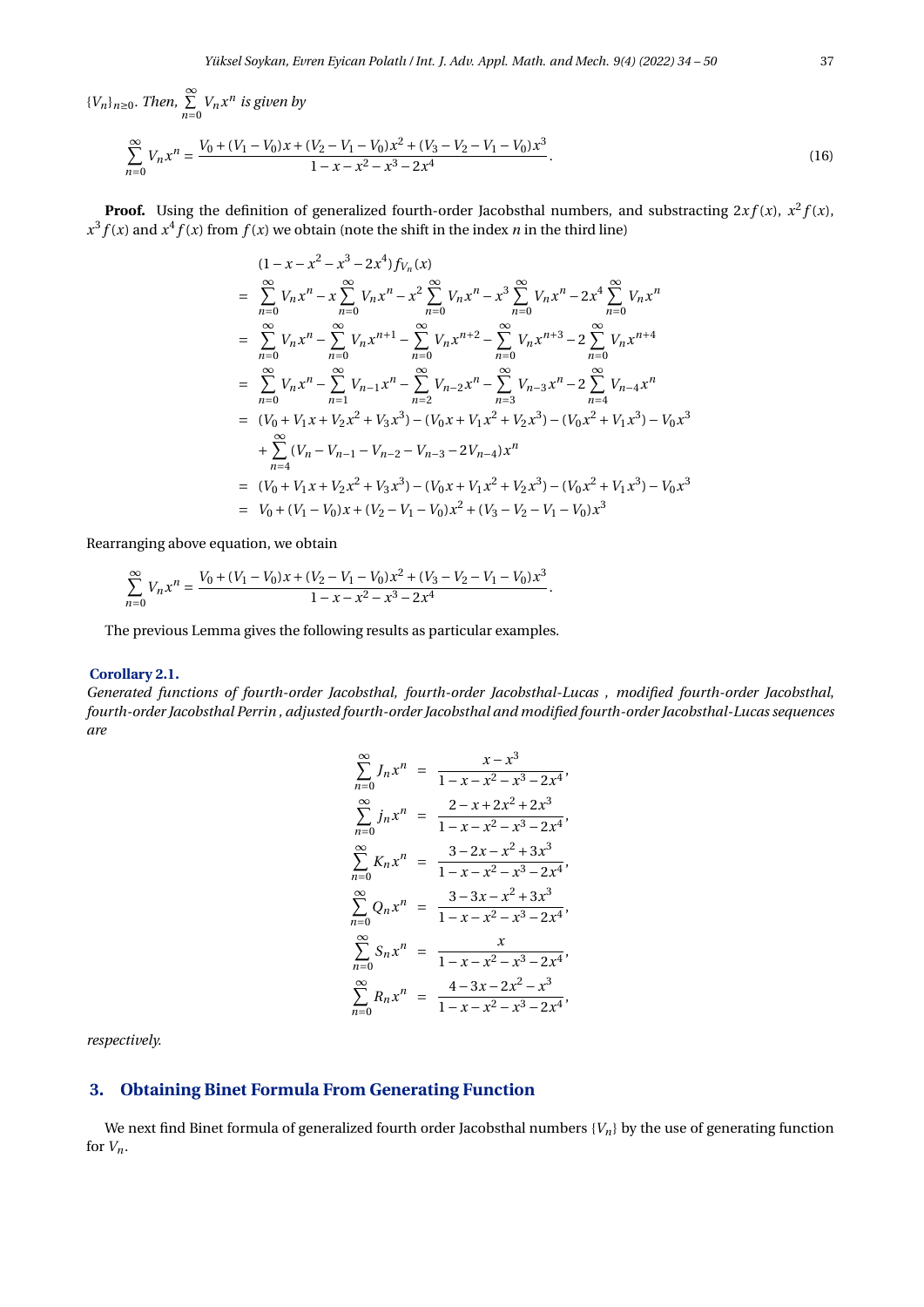${V_n}_{n \geq 0}$ . *Then*,  $\sum_{n=0}^{\infty} V_n x^n$  *is given by* 

$$
\sum_{n=0}^{\infty} V_n x^n = \frac{V_0 + (V_1 - V_0)x + (V_2 - V_1 - V_0)x^2 + (V_3 - V_2 - V_1 - V_0)x^3}{1 - x - x^2 - x^3 - 2x^4}.
$$
\n(16)

**Proof.** Using the definition of generalized fourth-order Jacobsthal numbers, and substracting  $2xf(x)$ ,  $x^2f(x)$ ,  $x^3 f(x)$  and  $x^4 f(x)$  from  $f(x)$  we obtain (note the shift in the index *n* in the third line)

<span id="page-3-0"></span>
$$
(1 - x - x^{2} - x^{3} - 2x^{4}) f_{V_{n}}(x)
$$
\n
$$
= \sum_{n=0}^{\infty} V_{n}x^{n} - x \sum_{n=0}^{\infty} V_{n}x^{n} - x^{2} \sum_{n=0}^{\infty} V_{n}x^{n} - x^{3} \sum_{n=0}^{\infty} V_{n}x^{n} - 2x^{4} \sum_{n=0}^{\infty} V_{n}x^{n}
$$
\n
$$
= \sum_{n=0}^{\infty} V_{n}x^{n} - \sum_{n=0}^{\infty} V_{n}x^{n+1} - \sum_{n=0}^{\infty} V_{n}x^{n+2} - \sum_{n=0}^{\infty} V_{n}x^{n+3} - 2 \sum_{n=0}^{\infty} V_{n}x^{n+4}
$$
\n
$$
= \sum_{n=0}^{\infty} V_{n}x^{n} - \sum_{n=1}^{\infty} V_{n-1}x^{n} - \sum_{n=2}^{\infty} V_{n-2}x^{n} - \sum_{n=3}^{\infty} V_{n-3}x^{n} - 2 \sum_{n=4}^{\infty} V_{n-4}x^{n}
$$
\n
$$
= (V_{0} + V_{1}x + V_{2}x^{2} + V_{3}x^{3}) - (V_{0}x + V_{1}x^{2} + V_{2}x^{3}) - (V_{0}x^{2} + V_{1}x^{3}) - V_{0}x^{3}
$$
\n
$$
+ \sum_{n=4}^{\infty} (V_{n} - V_{n-1} - V_{n-2} - V_{n-3} - 2V_{n-4})x^{n}
$$
\n
$$
= (V_{0} + V_{1}x + V_{2}x^{2} + V_{3}x^{3}) - (V_{0}x + V_{1}x^{2} + V_{2}x^{3}) - (V_{0}x^{2} + V_{1}x^{3}) - V_{0}x^{3}
$$
\n
$$
= V_{0} + (V_{1} - V_{0})x + (V_{2} - V_{1} - V_{0})x^{2} + (V_{3} - V_{2} - V_{1} - V_{0})x^{3}
$$

Rearranging above equation, we obtain

$$
\sum_{n=0}^{\infty} V_n x^n = \frac{V_0 + (V_1 - V_0)x + (V_2 - V_1 - V_0)x^2 + (V_3 - V_2 - V_1 - V_0)x^3}{1 - x - x^2 - x^3 - 2x^4}.
$$

The previous Lemma gives the following results as particular examples.

#### **Corollary 2.1.**

*Generated functions of fourth-order Jacobsthal, fourth-order Jacobsthal-Lucas , modified fourth-order Jacobsthal*, *fourth-order Jacobsthal Perrin , adjusted fourth-order Jacobsthal and modified fourth-order Jacobsthal-Lucas sequences are*

$$
\sum_{n=0}^{\infty} J_n x^n = \frac{x - x^3}{1 - x - x^2 - x^3 - 2x^4},
$$
  

$$
\sum_{n=0}^{\infty} j_n x^n = \frac{2 - x + 2x^2 + 2x^3}{1 - x - x^2 - x^3 - 2x^4},
$$
  

$$
\sum_{n=0}^{\infty} K_n x^n = \frac{3 - 2x - x^2 + 3x^3}{1 - x - x^2 - x^3 - 2x^4},
$$
  

$$
\sum_{n=0}^{\infty} Q_n x^n = \frac{3 - 3x - x^2 + 3x^3}{1 - x - x^2 - x^3 - 2x^4},
$$
  

$$
\sum_{n=0}^{\infty} S_n x^n = \frac{x}{1 - x - x^2 - x^3 - 2x^4},
$$
  

$$
\sum_{n=0}^{\infty} R_n x^n = \frac{4 - 3x - 2x^2 - x^3}{1 - x - x^2 - x^3 - 2x^4},
$$

*respectively.*

## **3. Obtaining Binet Formula From Generating Function**

<span id="page-3-1"></span>We next find Binet formula of generalized fourth order Jacobsthal numbers {*Vn*} by the use of generating function for  $V_n$ .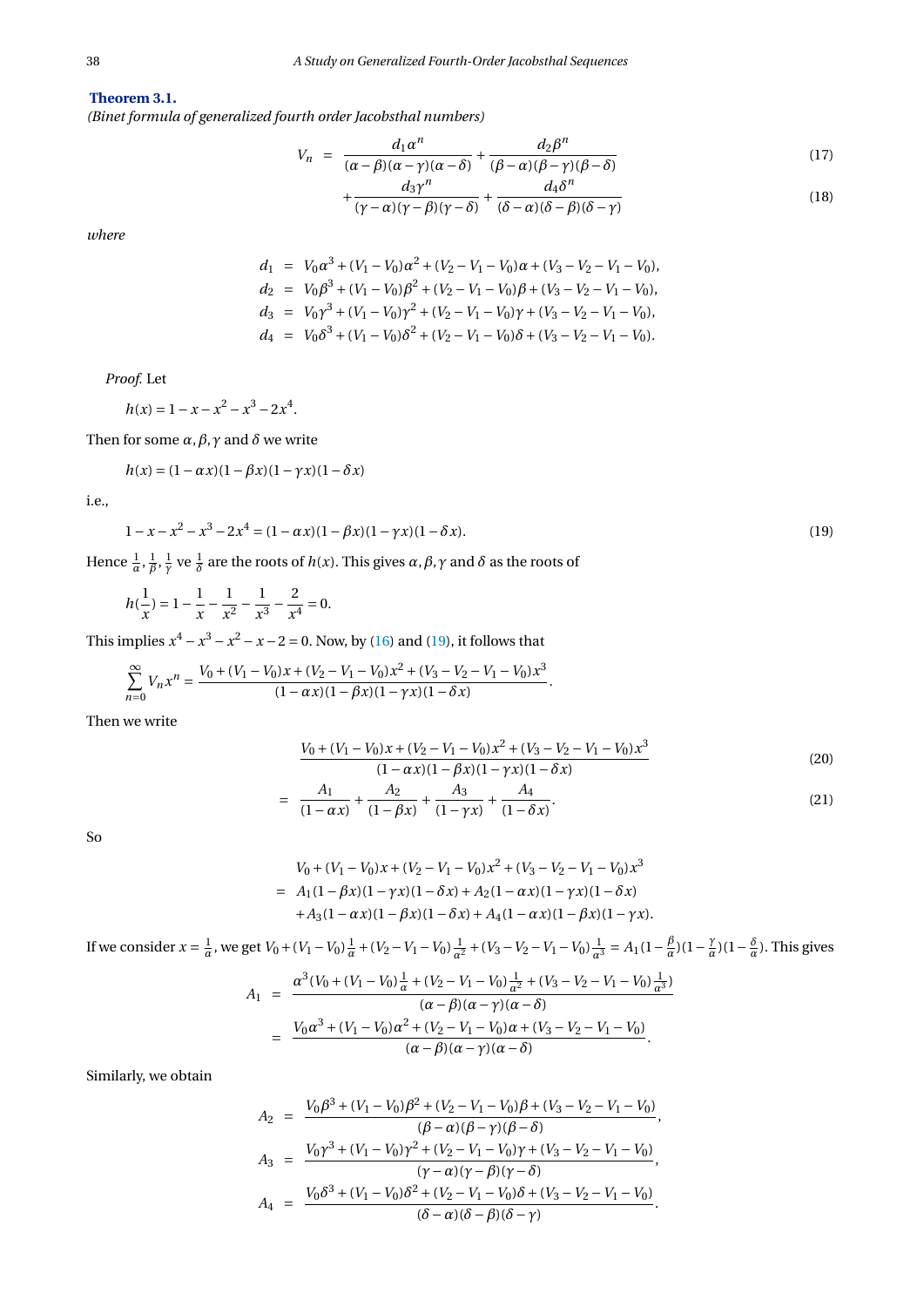## **Theorem 3.1.**

*(Binet formula of generalized fourth order Jacobsthal numbers)*

<span id="page-4-2"></span>
$$
V_n = \frac{d_1 \alpha^n}{(\alpha - \beta)(\alpha - \gamma)(\alpha - \delta)} + \frac{d_2 \beta^n}{(\beta - \alpha)(\beta - \gamma)(\beta - \delta)} \tag{17}
$$

$$
+\frac{d_3\gamma^n}{(\gamma-\alpha)(\gamma-\beta)(\gamma-\delta)}+\frac{d_4\delta^n}{(\delta-\alpha)(\delta-\beta)(\delta-\gamma)}
$$
(18)

*where*

$$
d_1 = V_0 \alpha^3 + (V_1 - V_0) \alpha^2 + (V_2 - V_1 - V_0) \alpha + (V_3 - V_2 - V_1 - V_0),
$$
  
\n
$$
d_2 = V_0 \beta^3 + (V_1 - V_0) \beta^2 + (V_2 - V_1 - V_0) \beta + (V_3 - V_2 - V_1 - V_0),
$$
  
\n
$$
d_3 = V_0 \gamma^3 + (V_1 - V_0) \gamma^2 + (V_2 - V_1 - V_0) \gamma + (V_3 - V_2 - V_1 - V_0),
$$
  
\n
$$
d_4 = V_0 \delta^3 + (V_1 - V_0) \delta^2 + (V_2 - V_1 - V_0) \delta + (V_3 - V_2 - V_1 - V_0).
$$

*Proof.* Let

 $h(x) = 1 - x - x^2 - x^3 - 2x^4$ .

Then for some *α*,*β*,*γ* and *δ* we write

$$
h(x) = (1 - \alpha x)(1 - \beta x)(1 - \gamma x)(1 - \delta x)
$$

<span id="page-4-0"></span>i.e.,

$$
1 - x - x2 - x3 - 2x4 = (1 - \alpha x)(1 - \beta x)(1 - \gamma x)(1 - \delta x).
$$
 (19)

Hence  $\frac{1}{\alpha}$ ,  $\frac{1}{\beta}$ ,  $\frac{1}{\gamma}$  ve  $\frac{1}{\delta}$  are the roots of *h*(*x*). This gives  $\alpha, \beta, \gamma$  and  $\delta$  as the roots of

$$
h(\frac{1}{x}) = 1 - \frac{1}{x} - \frac{1}{x^2} - \frac{1}{x^3} - \frac{2}{x^4} = 0.
$$

This implies  $x^4 - x^3 - x^2 - x - 2 = 0$ . Now, by [\(16\)](#page-3-0) and [\(19\)](#page-4-0), it follows that

$$
\sum_{n=0}^{\infty}V_nx^n=\frac{V_0+(V_1-V_0)x+(V_2-V_1-V_0)x^2+(V_3-V_2-V_1-V_0)x^3}{(1-\alpha x)(1-\beta x)(1-\gamma x)(1-\delta x)}.
$$

Then we write

<span id="page-4-1"></span>
$$
\frac{V_0 + (V_1 - V_0)x + (V_2 - V_1 - V_0)x^2 + (V_3 - V_2 - V_1 - V_0)x^3}{(1 - \alpha x)(1 - \beta x)(1 - \gamma x)(1 - \delta x)}
$$
(20)

$$
= \frac{A_1}{(1 - \alpha x)} + \frac{A_2}{(1 - \beta x)} + \frac{A_3}{(1 - \gamma x)} + \frac{A_4}{(1 - \delta x)}.
$$
 (21)

So

$$
V_0 + (V_1 - V_0)x + (V_2 - V_1 - V_0)x^2 + (V_3 - V_2 - V_1 - V_0)x^3
$$
  
=  $A_1(1 - \beta x)(1 - \gamma x)(1 - \delta x) + A_2(1 - \alpha x)(1 - \gamma x)(1 - \delta x)$   
+  $A_3(1 - \alpha x)(1 - \beta x)(1 - \delta x) + A_4(1 - \alpha x)(1 - \beta x)(1 - \gamma x).$ 

If we consider 
$$
x = \frac{1}{\alpha}
$$
, we get  $V_0 + (V_1 - V_0)\frac{1}{\alpha} + (V_2 - V_1 - V_0)\frac{1}{\alpha^2} + (V_3 - V_2 - V_1 - V_0)\frac{1}{\alpha^3} = A_1(1 - \frac{\beta}{\alpha})(1 - \frac{\gamma}{\alpha})(1 - \frac{\delta}{\alpha})$ . This gives

$$
A_1 = \frac{\alpha^3 (V_0 + (V_1 - V_0) \frac{1}{\alpha} + (V_2 - V_1 - V_0) \frac{1}{\alpha^2} + (V_3 - V_2 - V_1 - V_0) \frac{1}{\alpha^3})}{(\alpha - \beta)(\alpha - \gamma)(\alpha - \delta)}
$$
  
= 
$$
\frac{V_0 \alpha^3 + (V_1 - V_0) \alpha^2 + (V_2 - V_1 - V_0) \alpha + (V_3 - V_2 - V_1 - V_0)}{(\alpha - \beta)(\alpha - \gamma)(\alpha - \delta)}.
$$

Similarly, we obtain

$$
A_2 = \frac{V_0 \beta^3 + (V_1 - V_0)\beta^2 + (V_2 - V_1 - V_0)\beta + (V_3 - V_2 - V_1 - V_0)}{(\beta - \alpha)(\beta - \gamma)(\beta - \delta)},
$$
  
\n
$$
A_3 = \frac{V_0 \gamma^3 + (V_1 - V_0)\gamma^2 + (V_2 - V_1 - V_0)\gamma + (V_3 - V_2 - V_1 - V_0)}{(\gamma - \alpha)(\gamma - \beta)(\gamma - \delta)},
$$
  
\n
$$
A_4 = \frac{V_0 \delta^3 + (V_1 - V_0)\delta^2 + (V_2 - V_1 - V_0)\delta + (V_3 - V_2 - V_1 - V_0)}{(\delta - \alpha)(\delta - \beta)(\delta - \gamma)}.
$$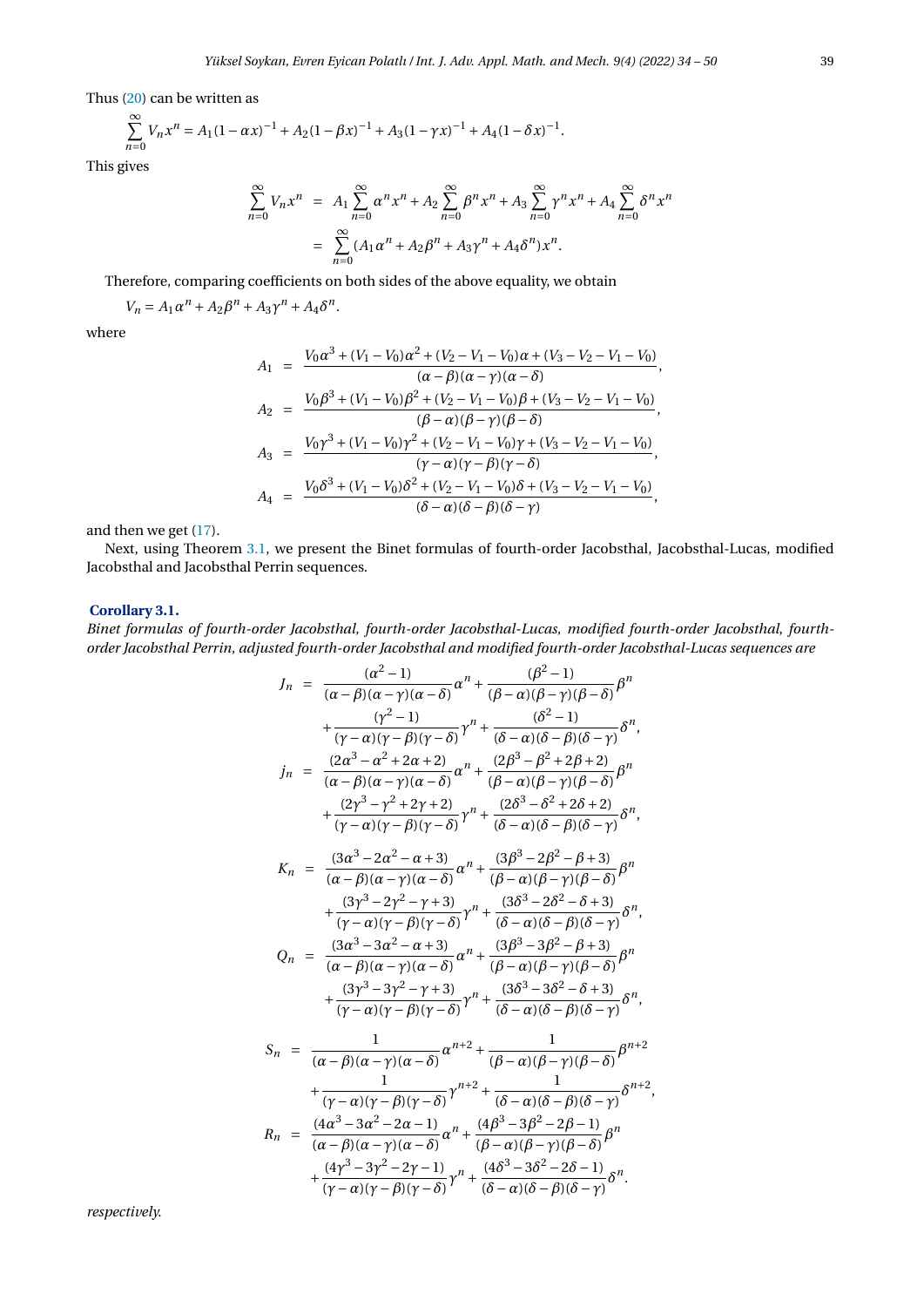Thus [\(20\)](#page-4-1) can be written as

$$
\sum_{n=0}^{\infty} V_n x^n = A_1 (1 - \alpha x)^{-1} + A_2 (1 - \beta x)^{-1} + A_3 (1 - \gamma x)^{-1} + A_4 (1 - \delta x)^{-1}.
$$

This gives

$$
\sum_{n=0}^{\infty} V_n x^n = A_1 \sum_{n=0}^{\infty} \alpha^n x^n + A_2 \sum_{n=0}^{\infty} \beta^n x^n + A_3 \sum_{n=0}^{\infty} \gamma^n x^n + A_4 \sum_{n=0}^{\infty} \delta^n x^n
$$

$$
= \sum_{n=0}^{\infty} (A_1 \alpha^n + A_2 \beta^n + A_3 \gamma^n + A_4 \delta^n) x^n.
$$

Therefore, comparing coefficients on both sides of the above equality, we obtain

$$
V_n = A_1 \alpha^n + A_2 \beta^n + A_3 \gamma^n + A_4 \delta^n.
$$

where

$$
A_1 = \frac{V_0 \alpha^3 + (V_1 - V_0) \alpha^2 + (V_2 - V_1 - V_0) \alpha + (V_3 - V_2 - V_1 - V_0)}{(\alpha - \beta)(\alpha - \gamma)(\alpha - \delta)},
$$
  
\n
$$
A_2 = \frac{V_0 \beta^3 + (V_1 - V_0) \beta^2 + (V_2 - V_1 - V_0) \beta + (V_3 - V_2 - V_1 - V_0)}{(\beta - \alpha)(\beta - \gamma)(\beta - \delta)},
$$
  
\n
$$
A_3 = \frac{V_0 \gamma^3 + (V_1 - V_0) \gamma^2 + (V_2 - V_1 - V_0) \gamma + (V_3 - V_2 - V_1 - V_0)}{(\gamma - \alpha)(\gamma - \beta)(\gamma - \delta)},
$$
  
\n
$$
A_4 = \frac{V_0 \delta^3 + (V_1 - V_0) \delta^2 + (V_2 - V_1 - V_0) \delta + (V_3 - V_2 - V_1 - V_0)}{(\delta - \alpha)(\delta - \beta)(\delta - \gamma)},
$$

and then we get [\(17\)](#page-4-2).

Next, using Theorem [3.1,](#page-3-1) we present the Binet formulas of fourth-order Jacobsthal, Jacobsthal-Lucas, modified Jacobsthal and Jacobsthal Perrin sequences.

### **Corollary 3.1.**

*Binet formulas of fourth-order Jacobsthal, fourth-order Jacobsthal-Lucas, modified fourth-order Jacobsthal*, *fourthorder Jacobsthal Perrin, adjusted fourth-order Jacobsthal and modified fourth-order Jacobsthal-Lucas sequences are*

$$
J_n = \frac{(\alpha^2 - 1)}{(\alpha - \beta)(\alpha - \gamma)(\alpha - \delta)} \alpha^n + \frac{(\beta^2 - 1)}{(\beta - \alpha)(\beta - \gamma)(\beta - \delta)} \beta^n
$$
  
+ 
$$
\frac{(\gamma^2 - 1)}{(\gamma - \alpha)(\gamma - \beta)(\gamma - \delta)} \gamma^n + \frac{(\delta^2 - 1)}{(\delta - \alpha)(\delta - \beta)(\delta - \gamma)} \delta^n,
$$
  

$$
j_n = \frac{(2\alpha^3 - \alpha^2 + 2\alpha + 2)}{(\alpha - \beta)(\alpha - \gamma)(\alpha - \delta)} \alpha^n + \frac{(2\beta^3 - \beta^2 + 2\beta + 2)}{(\beta - \alpha)(\beta - \gamma)(\beta - \delta)} \beta^n
$$
  
+ 
$$
\frac{(2\gamma^3 - \gamma^2 + 2\gamma + 2)}{(\gamma - \alpha)(\gamma - \beta)(\gamma - \delta)} \gamma^n + \frac{(2\delta^3 - \delta^2 + 2\delta + 2)}{(\delta - \alpha)(\delta - \beta)(\delta - \gamma)} \delta^n,
$$
  

$$
K_n = \frac{(3\alpha^3 - 2\alpha^2 - \alpha + 3)}{(\alpha - \beta)(\alpha - \gamma)(\alpha - \delta)} \alpha^n + \frac{(3\beta^3 - 2\beta^2 - \beta + 3)}{(\beta - \alpha)(\beta - \gamma)(\beta - \delta)} \beta^n
$$
  
+ 
$$
\frac{(3\gamma^3 - 2\gamma^2 - \gamma + 3)}{(\gamma - \alpha)(\gamma - \beta)(\gamma - \delta)} \gamma^n + \frac{(3\delta^3 - 2\delta^2 - \delta + 3)}{(\delta - \alpha)(\delta - \beta)(\delta - \gamma)} \delta^n,
$$
  

$$
Q_n = \frac{(3\alpha^3 - 3\alpha^2 - \alpha + 3)}{(\alpha - \beta)(\alpha - \gamma)(\alpha - \delta)} \alpha^n + \frac{(3\beta^3 - 3\beta^2 - \beta + 3)}{(\beta - \alpha)(\beta - \gamma)(\beta - \delta)} \beta^n
$$
  
+ 
$$
\frac{(3\gamma^3 - 3\gamma^2 - \gamma + 3)}{(\gamma - \alpha)(\gamma - \beta)(\gamma - \delta)} \gamma^n + \frac{(3\delta^3 - 3\delta^2 - \delta + 3)}{(\delta - \alpha)(\delta - \beta)(\delta - \gamma)} \delta^n,
$$
  
<math display="block</math>

*respectively.*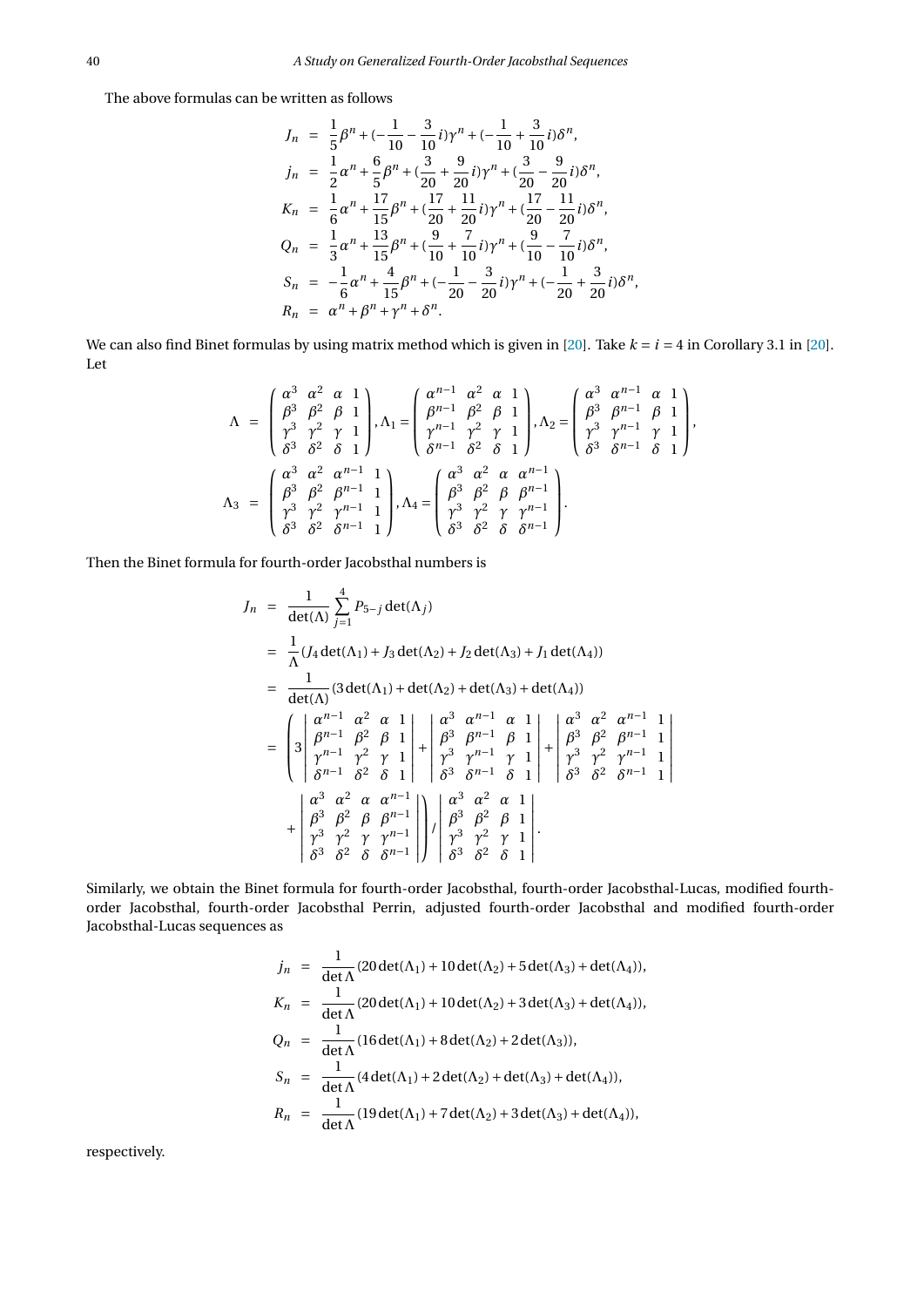The above formulas can be written as follows

$$
J_n = \frac{1}{5}\beta^n + \left(-\frac{1}{10} - \frac{3}{10}i\right)\gamma^n + \left(-\frac{1}{10} + \frac{3}{10}i\right)\delta^n,
$$
  
\n
$$
j_n = \frac{1}{2}\alpha^n + \frac{6}{5}\beta^n + \left(\frac{3}{20} + \frac{9}{20}i\right)\gamma^n + \left(\frac{3}{20} - \frac{9}{20}i\right)\delta^n,
$$
  
\n
$$
K_n = \frac{1}{6}\alpha^n + \frac{17}{15}\beta^n + \left(\frac{17}{20} + \frac{11}{20}i\right)\gamma^n + \left(\frac{17}{20} - \frac{11}{20}i\right)\delta^n,
$$
  
\n
$$
Q_n = \frac{1}{3}\alpha^n + \frac{13}{15}\beta^n + \left(\frac{9}{10} + \frac{7}{10}i\right)\gamma^n + \left(\frac{9}{10} - \frac{7}{10}i\right)\delta^n,
$$
  
\n
$$
S_n = -\frac{1}{6}\alpha^n + \frac{4}{15}\beta^n + \left(-\frac{1}{20} - \frac{3}{20}i\right)\gamma^n + \left(-\frac{1}{20} + \frac{3}{20}i\right)\delta^n,
$$
  
\n
$$
R_n = \alpha^n + \beta^n + \gamma^n + \delta^n.
$$

We can also find Binet formulas by using matrix method which is given in  $[20]$ . Take  $k = i = 4$  in Corollary 3.1 in  $[20]$ . Let

$$
\Lambda = \begin{pmatrix} \alpha^3 & \alpha^2 & \alpha & 1 \\ \beta^3 & \beta^2 & \beta & 1 \\ \gamma^3 & \gamma^2 & \gamma & 1 \\ \delta^3 & \delta^2 & \delta & 1 \end{pmatrix}, \Lambda_1 = \begin{pmatrix} \alpha^{n-1} & \alpha^2 & \alpha & 1 \\ \beta^{n-1} & \beta^2 & \beta & 1 \\ \gamma^{n-1} & \gamma^2 & \gamma & 1 \\ \delta^{n-1} & \delta^2 & \delta & 1 \end{pmatrix}, \Lambda_2 = \begin{pmatrix} \alpha^3 & \alpha^{n-1} & \alpha & 1 \\ \beta^3 & \beta^{n-1} & \beta & 1 \\ \gamma^3 & \gamma^{n-1} & \gamma & 1 \\ \delta^3 & \delta^{n-1} & \delta & 1 \end{pmatrix},
$$

$$
\Lambda_3 = \begin{pmatrix} \alpha^3 & \alpha^2 & \alpha^{n-1} & 1 \\ \beta^3 & \beta^2 & \beta^{n-1} & 1 \\ \gamma^3 & \gamma^2 & \gamma^{n-1} & 1 \\ \delta^3 & \delta^2 & \delta^{n-1} & 1 \end{pmatrix}, \Lambda_4 = \begin{pmatrix} \alpha^3 & \alpha^2 & \alpha & \alpha^{n-1} \\ \beta^3 & \beta^2 & \beta & \beta^{n-1} \\ \gamma^3 & \gamma^2 & \gamma & \gamma^{n-1} \\ \delta^3 & \delta^2 & \delta & \delta^{n-1} \end{pmatrix}.
$$

Then the Binet formula for fourth-order Jacobsthal numbers is

$$
J_n = \frac{1}{\det(\Lambda)} \sum_{j=1}^{4} P_{5-j} \det(\Lambda_j)
$$
  
\n
$$
= \frac{1}{\Lambda} (J_4 \det(\Lambda_1) + J_3 \det(\Lambda_2) + J_2 \det(\Lambda_3) + J_1 \det(\Lambda_4))
$$
  
\n
$$
= \frac{1}{\det(\Lambda)} (3 \det(\Lambda_1) + \det(\Lambda_2) + \det(\Lambda_3) + \det(\Lambda_4))
$$
  
\n
$$
= \begin{pmatrix} a^{n-1} & a^2 & a & 1 \ 3 & \beta^{n-1} & \beta^2 & \beta & 1 \ \beta^{n-1} & \beta^2 & \beta & 1 & 1 \ \delta^{n-1} & \beta^3 & \beta^{n-1} & \beta & 1 \ \delta^{n-1} & \delta^2 & \delta & 1 & 1 \ \delta^{n-1} & \delta^2 & \delta & 1 & 1 \ \delta^{n-1} & \delta^3 & \delta^{n-1} & \delta & 1 \ \delta^{n-1} & \delta & 1 & 1 \ \delta^{n-1} & \delta^3 & \delta^2 & \delta^{n-1} & 1 \ \delta^{n-1} & \delta^3 & \delta^2 & \delta^{n-1} & 1 \ \delta^{n-2} & \delta^3 & \delta^2 & \delta & \delta^{n-1} \ \end{pmatrix} + \begin{pmatrix} a^3 & a^2 & a & 1 \ \beta^3 & \beta^2 & \beta & 1 \ \beta^3 & \beta^2 & \beta & 1 \ \beta^3 & \beta^2 & \beta & 1 \ \delta^3 & \delta^2 & \delta & 1 \ \end{pmatrix} \cdot \begin{pmatrix} a^3 & a^2 & a & 1 \ \beta^3 & \beta^2 & \beta & 1 \ \beta^3 & \gamma^2 & \gamma & 1 \ \delta^3 & \delta^2 & \delta & 1 \ \end{pmatrix}.
$$

 $\overline{\phantom{a}}$  $\overline{\phantom{a}}$  $\overline{1}$  $\overline{\phantom{a}}$  $\overline{\phantom{a}}$  $\overline{1}$  $\overline{\phantom{a}}$  $\overline{a}$ 

Similarly, we obtain the Binet formula for fourth-order Jacobsthal, fourth-order Jacobsthal-Lucas, modified fourthorder Jacobsthal, fourth-order Jacobsthal Perrin, adjusted fourth-order Jacobsthal and modified fourth-order Jacobsthal-Lucas sequences as

$$
j_n = \frac{1}{\det \Lambda} (20 \det(\Lambda_1) + 10 \det(\Lambda_2) + 5 \det(\Lambda_3) + \det(\Lambda_4)),
$$
  
\n
$$
K_n = \frac{1}{\det \Lambda} (20 \det(\Lambda_1) + 10 \det(\Lambda_2) + 3 \det(\Lambda_3) + \det(\Lambda_4)),
$$
  
\n
$$
Q_n = \frac{1}{\det \Lambda} (16 \det(\Lambda_1) + 8 \det(\Lambda_2) + 2 \det(\Lambda_3)),
$$
  
\n
$$
S_n = \frac{1}{\det \Lambda} (4 \det(\Lambda_1) + 2 \det(\Lambda_2) + \det(\Lambda_3) + \det(\Lambda_4)),
$$
  
\n
$$
R_n = \frac{1}{\det \Lambda} (19 \det(\Lambda_1) + 7 \det(\Lambda_2) + 3 \det(\Lambda_3) + \det(\Lambda_4)),
$$

respectively.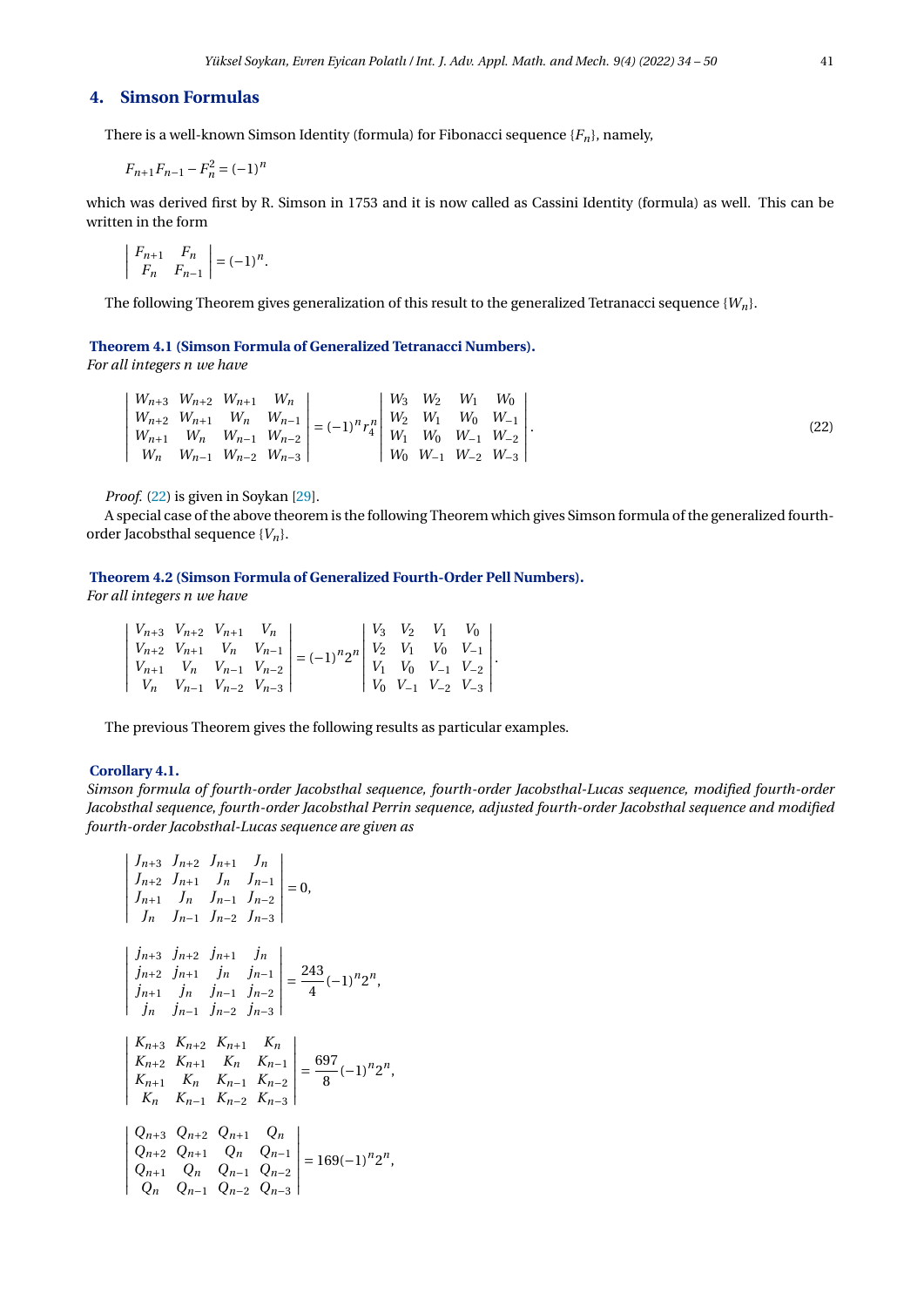## **4. Simson Formulas**

There is a well-known Simson Identity (formula) for Fibonacci sequence  ${F_n}$ , namely,

$$
F_{n+1}F_{n-1} - F_n^2 = (-1)^n
$$

which was derived first by R. Simson in 1753 and it is now called as Cassini Identity (formula) as well. This can be written in the form

$$
\left| \begin{array}{cc} F_{n+1} & F_n \\ F_n & F_{n-1} \end{array} \right| = (-1)^n
$$

The following Theorem gives generalization of this result to the generalized Tetranacci sequence {*Wn*}.

### **Theorem 4.1 (Simson Formula of Generalized Tetranacci Numbers).**

<span id="page-7-0"></span>.

*For all integers n we have*

|  | $\mid W_{n+3} \mid W_{n+2} \mid W_{n+1} \mid W_n \mid$            |                                                                                                                                                                                                            |  | $\begin{array}{ccc} W_3 & W_2 & W_1 \end{array}$ | $W_0$                                               |
|--|-------------------------------------------------------------------|------------------------------------------------------------------------------------------------------------------------------------------------------------------------------------------------------------|--|--------------------------------------------------|-----------------------------------------------------|
|  |                                                                   |                                                                                                                                                                                                            |  |                                                  |                                                     |
|  | $\begin{vmatrix} W_{n+1} & W_n & W_{n-1} & W_{n-2} \end{vmatrix}$ | $\begin{vmatrix} W_{n+2} & W_{n+1} & W_n & W_{n-1} \ W_{n+1} & W_n & W_{n-1} & W_{n-2} \end{vmatrix} = (-1)^n r_4^n \begin{vmatrix} W_2 & W_1 & W_0 & W_{-1} \ W_1 & W_0 & W_{-1} & W_{-2} \end{vmatrix}.$ |  |                                                  |                                                     |
|  | $\mid W_n \mid W_{n-1} \mid W_{n-2} \mid W_{n-3} \mid$            |                                                                                                                                                                                                            |  |                                                  | $\mid W_0 \mid W_{-1} \mid W_{-2} \mid W_{-3} \mid$ |

*Proof.* [\(22\)](#page-7-0) is given in Soykan [\[29\]](#page-16-14).

A special case of the above theorem is the following Theorem which gives Simson formula of the generalized fourthorder Jacobsthal sequence {*Vn*}.

## **Theorem 4.2 (Simson Formula of Generalized Fourth-Order Pell Numbers).**

*For all integers n we have*

|  |  | $\left  V_{n+3} \ V_{n+2} \ V_{n+1} \ V_n \right $ |                                                                                                                                                                                                             |  | $\begin{array}{ccc} \n\begin{array}{ccc} V_3 & V_2 & V_1 & V_0 \end{array} \n\end{array}$ |  |
|--|--|----------------------------------------------------|-------------------------------------------------------------------------------------------------------------------------------------------------------------------------------------------------------------|--|-------------------------------------------------------------------------------------------|--|
|  |  |                                                    | $\begin{vmatrix} V_{n+2} & V_{n+1} & V_n & V_{n-1} \ V_{n+1} & V_n & V_{n-1} & V_{n-2} \ \end{vmatrix} = (-1)^n 2^n \begin{vmatrix} V_2 & V_1 & V_0 & V_{-1} \ V_1 & V_0 & V_{-1} & V_{-2} \ \end{vmatrix}$ |  |                                                                                           |  |
|  |  | $ V_n V_{n-1} V_{n-2} V_{n-3} $                    |                                                                                                                                                                                                             |  | $\begin{bmatrix} V_0 & V_{-1} & V_{-2} & V_{-3} \end{bmatrix}$                            |  |

The previous Theorem gives the following results as particular examples.

#### **Corollary 4.1.**

*Simson formula of fourth-order Jacobsthal sequence, fourth-order Jacobsthal-Lucas sequence, modified fourth-order Jacobsthal sequence*, *fourth-order Jacobsthal Perrin sequence, adjusted fourth-order Jacobsthal sequence and modified fourth-order Jacobsthal-Lucas sequence are given as*

$$
\begin{vmatrix}\nJ_{n+3} & J_{n+2} & J_{n+1} & J_n \\
J_{n+2} & J_{n+1} & J_n & J_{n-1} \\
J_n & J_n & J_{n-1} & J_{n-2} \\
J_n & J_{n-1} & J_{n-2} & J_{n-3}\n\end{vmatrix} = 0,
$$
\n
$$
\begin{vmatrix}\nj_{n+3} & j_{n+2} & j_{n+1} & j_n \\
j_{n+2} & j_{n+1} & j_n & j_{n-1} \\
j_{n+1} & j_n & j_{n-1} & j_{n-2} \\
j_n & j_{n-1} & j_{n-2} & j_{n-3}\n\end{vmatrix} = \frac{243}{4}(-1)^n 2^n,
$$
\n
$$
\begin{vmatrix}\nK_{n+3} & K_{n+2} & K_{n+1} & K_n \\
K_{n+2} & K_{n+1} & K_n & K_{n-1} \\
K_{n+1} & K_n & K_{n-1} & K_{n-2} \\
K_n & K_{n-1} & K_{n-2} & K_{n-3}\n\end{vmatrix} = \frac{697}{8}(-1)^n 2^n,
$$
\n
$$
\begin{vmatrix}\nQ_{n+3} & Q_{n+2} & Q_{n+1} & Q_n \\
Q_{n+2} & Q_{n+1} & Q_n & Q_{n-1} \\
Q_{n+1} & Q_n & Q_{n-1} & Q_{n-2} \\
Q_n & Q_{n-1} & Q_{n-2} & Q_{n-3}\n\end{vmatrix} = 169(-1)^n 2^n,
$$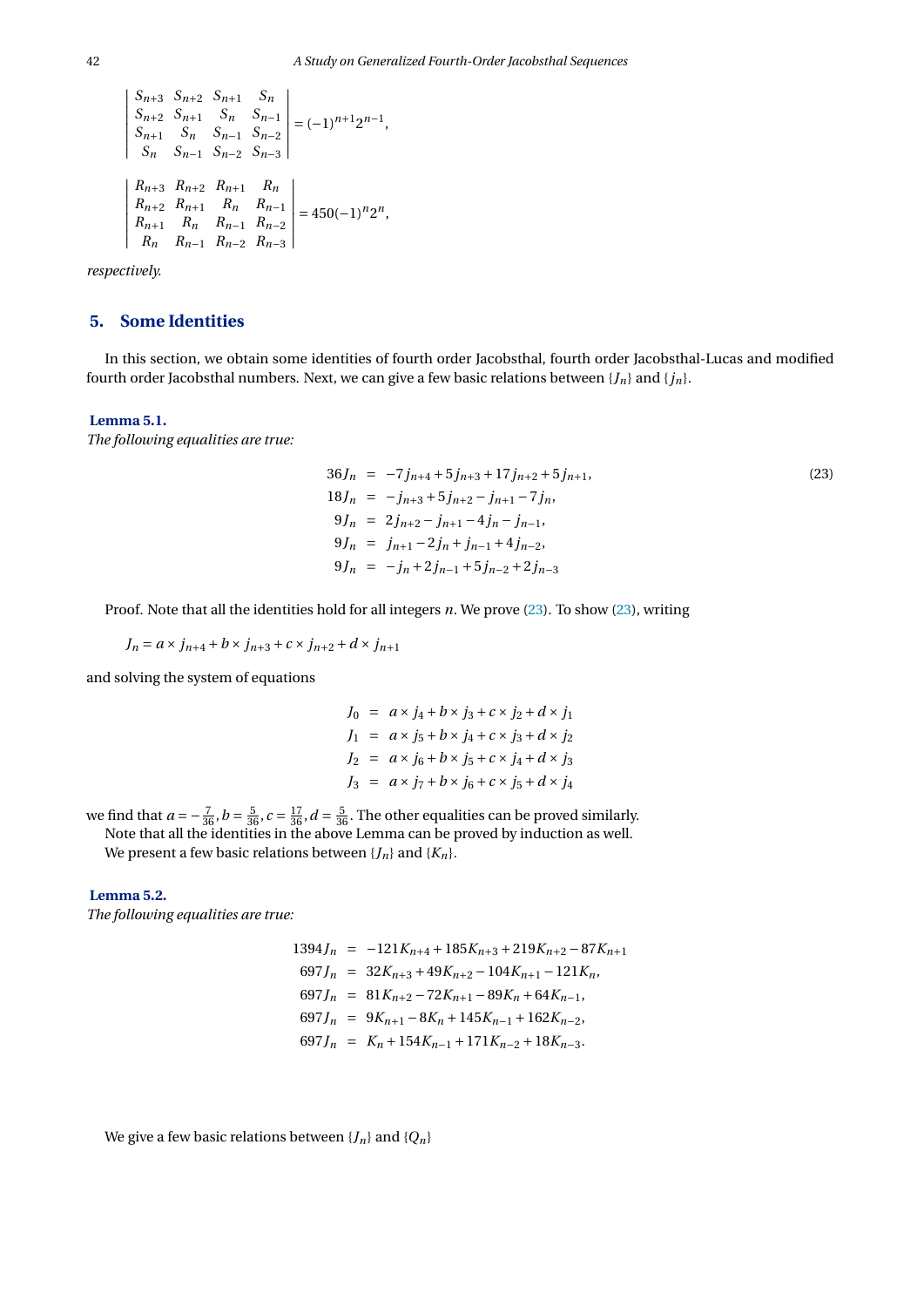$$
\begin{vmatrix} S_{n+3} & S_{n+2} & S_{n+1} & S_n \\ S_{n+2} & S_{n+1} & S_n & S_{n-1} \\ S_{n+1} & S_n & S_{n-1} & S_{n-2} \\ S_n & S_{n-1} & S_{n-2} & S_{n-3} \end{vmatrix} = (-1)^{n+1} 2^{n-1},
$$
  

$$
\begin{vmatrix} R_{n+3} & R_{n+2} & R_{n+1} & R_n \\ R_{n+2} & R_{n+1} & R_n & R_{n-1} \\ R_{n+1} & R_n & R_{n-1} & R_{n-2} \\ R_n & R_{n-1} & R_{n-2} & R_{n-3} \end{vmatrix} = 450(-1)^n 2^n,
$$

*respectively.*

## **5. Some Identities**

In this section, we obtain some identities of fourth order Jacobsthal, fourth order Jacobsthal-Lucas and modified fourth order Jacobsthal numbers. Next, we can give a few basic relations between  $\{J_n\}$  and  $\{j_n\}$ .

#### **Lemma 5.1.**

*The following equalities are true:*

<span id="page-8-0"></span>
$$
36J_n = -7j_{n+4} + 5j_{n+3} + 17j_{n+2} + 5j_{n+1},
$$
  
\n
$$
18J_n = -j_{n+3} + 5j_{n+2} - j_{n+1} - 7j_n,
$$
  
\n
$$
9J_n = 2j_{n+2} - j_{n+1} - 4j_n - j_{n-1},
$$
  
\n
$$
9J_n = j_{n+1} - 2j_n + j_{n-1} + 4j_{n-2},
$$
  
\n
$$
9J_n = -j_n + 2j_{n-1} + 5j_{n-2} + 2j_{n-3}
$$
\n
$$
(23)
$$

Proof. Note that all the identities hold for all integers *n*. We prove [\(23\)](#page-8-0). To show [\(23\)](#page-8-0), writing

$$
J_n = a \times j_{n+4} + b \times j_{n+3} + c \times j_{n+2} + d \times j_{n+1}
$$

and solving the system of equations

$$
J_0 = a \times j_4 + b \times j_3 + c \times j_2 + d \times j_1
$$
  
\n
$$
J_1 = a \times j_5 + b \times j_4 + c \times j_3 + d \times j_2
$$
  
\n
$$
J_2 = a \times j_6 + b \times j_5 + c \times j_4 + d \times j_3
$$
  
\n
$$
J_3 = a \times j_7 + b \times j_6 + c \times j_5 + d \times j_4
$$

we find that  $a = -\frac{7}{36}$ ,  $b = \frac{5}{36}$ ,  $c = \frac{17}{36}$ ,  $d = \frac{5}{36}$ . The other equalities can be proved similarly.

Note that all the identities in the above Lemma can be proved by induction as well.

We present a few basic relations between  ${J_n}$  and  ${K_n}$ .

#### **Lemma 5.2.**

*The following equalities are true:*

$$
1394J_n = -121K_{n+4} + 185K_{n+3} + 219K_{n+2} - 87K_{n+1}
$$
  
\n
$$
697J_n = 32K_{n+3} + 49K_{n+2} - 104K_{n+1} - 121K_n,
$$
  
\n
$$
697J_n = 81K_{n+2} - 72K_{n+1} - 89K_n + 64K_{n-1},
$$
  
\n
$$
697J_n = 9K_{n+1} - 8K_n + 145K_{n-1} + 162K_{n-2},
$$
  
\n
$$
697J_n = K_n + 154K_{n-1} + 171K_{n-2} + 18K_{n-3}.
$$

We give a few basic relations between 
$$
\{J_n\}
$$
 and  $\{Q_n\}$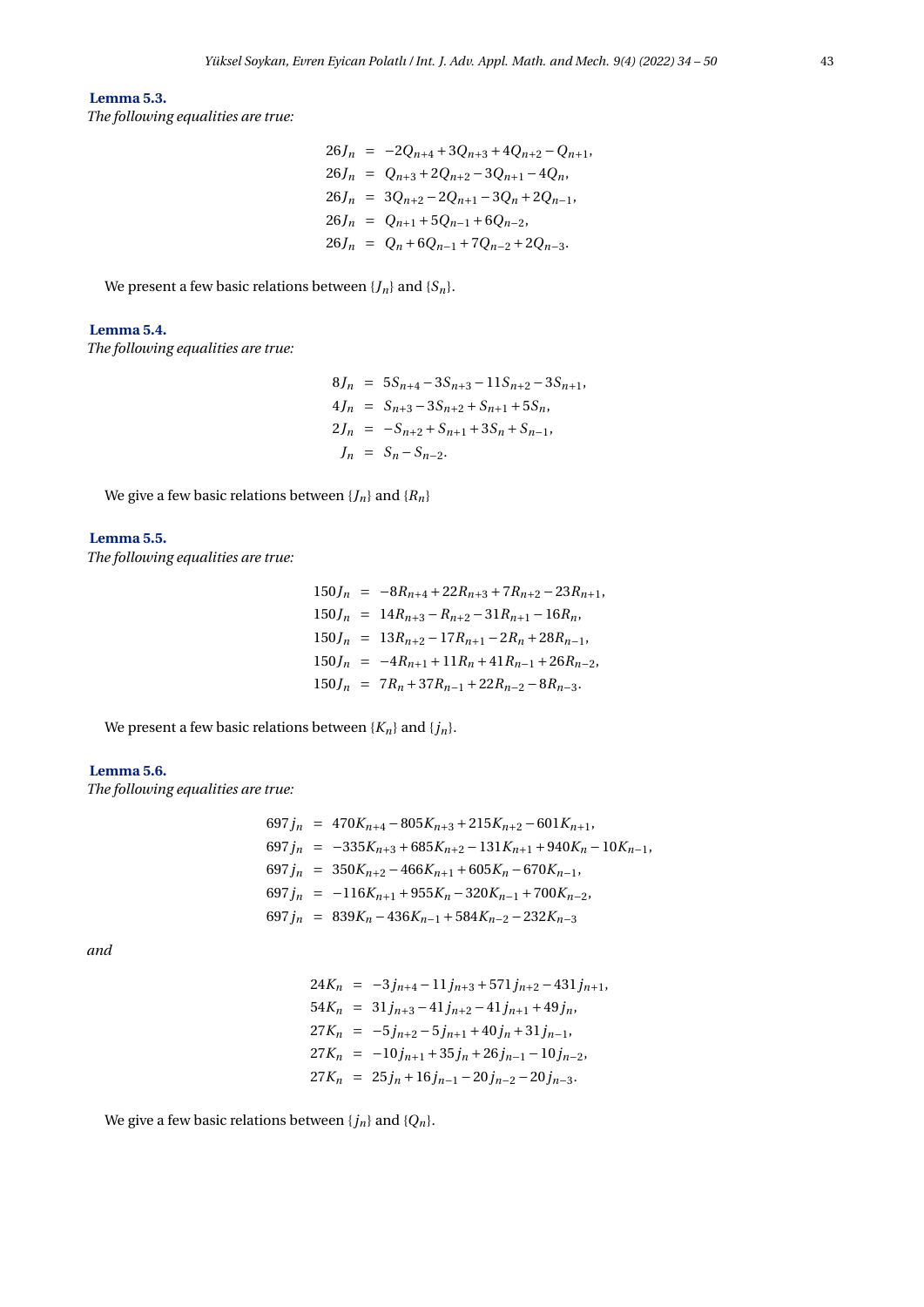### **Lemma 5.3.**

*The following equalities are true:*

$$
26J_n = -2Q_{n+4} + 3Q_{n+3} + 4Q_{n+2} - Q_{n+1},
$$
  
\n
$$
26J_n = Q_{n+3} + 2Q_{n+2} - 3Q_{n+1} - 4Q_n,
$$
  
\n
$$
26J_n = 3Q_{n+2} - 2Q_{n+1} - 3Q_n + 2Q_{n-1},
$$
  
\n
$$
26J_n = Q_{n+1} + 5Q_{n-1} + 6Q_{n-2},
$$
  
\n
$$
26J_n = Q_n + 6Q_{n-1} + 7Q_{n-2} + 2Q_{n-3}.
$$

We present a few basic relations between  ${J_n}$  and  ${S_n}$ .

## **Lemma 5.4.**

*The following equalities are true:*

$$
8J_n = 5S_{n+4} - 3S_{n+3} - 11S_{n+2} - 3S_{n+1},
$$
  
\n
$$
4J_n = S_{n+3} - 3S_{n+2} + S_{n+1} + 5S_n,
$$
  
\n
$$
2J_n = -S_{n+2} + S_{n+1} + 3S_n + S_{n-1},
$$
  
\n
$$
J_n = S_n - S_{n-2}.
$$

We give a few basic relations between  $\{J_n\}$  and  $\{R_n\}$ 

## **Lemma 5.5.**

*The following equalities are true:*

$$
150J_n = -8R_{n+4} + 22R_{n+3} + 7R_{n+2} - 23R_{n+1},
$$
  
\n
$$
150J_n = 14R_{n+3} - R_{n+2} - 31R_{n+1} - 16R_n,
$$
  
\n
$$
150J_n = 13R_{n+2} - 17R_{n+1} - 2R_n + 28R_{n-1},
$$
  
\n
$$
150J_n = -4R_{n+1} + 11R_n + 41R_{n-1} + 26R_{n-2},
$$
  
\n
$$
150J_n = 7R_n + 37R_{n-1} + 22R_{n-2} - 8R_{n-3}.
$$

We present a few basic relations between  $\{K_n\}$  and  $\{j_n\}$ .

#### **Lemma 5.6.**

*The following equalities are true:*

$$
697j_n = 470K_{n+4} - 805K_{n+3} + 215K_{n+2} - 601K_{n+1},
$$
  
\n
$$
697j_n = -335K_{n+3} + 685K_{n+2} - 131K_{n+1} + 940K_n - 10K_{n-1},
$$
  
\n
$$
697j_n = 350K_{n+2} - 466K_{n+1} + 605K_n - 670K_{n-1},
$$
  
\n
$$
697j_n = -116K_{n+1} + 955K_n - 320K_{n-1} + 700K_{n-2},
$$
  
\n
$$
697j_n = 839K_n - 436K_{n-1} + 584K_{n-2} - 232K_{n-3}
$$

*and*

$$
24K_n = -3j_{n+4} - 11j_{n+3} + 571j_{n+2} - 431j_{n+1},
$$
  
\n
$$
54K_n = 31j_{n+3} - 41j_{n+2} - 41j_{n+1} + 49j_n,
$$
  
\n
$$
27K_n = -5j_{n+2} - 5j_{n+1} + 40j_n + 31j_{n-1},
$$
  
\n
$$
27K_n = -10j_{n+1} + 35j_n + 26j_{n-1} - 10j_{n-2},
$$
  
\n
$$
27K_n = 25j_n + 16j_{n-1} - 20j_{n-2} - 20j_{n-3}.
$$

We give a few basic relations between  ${j_n}$  and  ${Q_n}$ .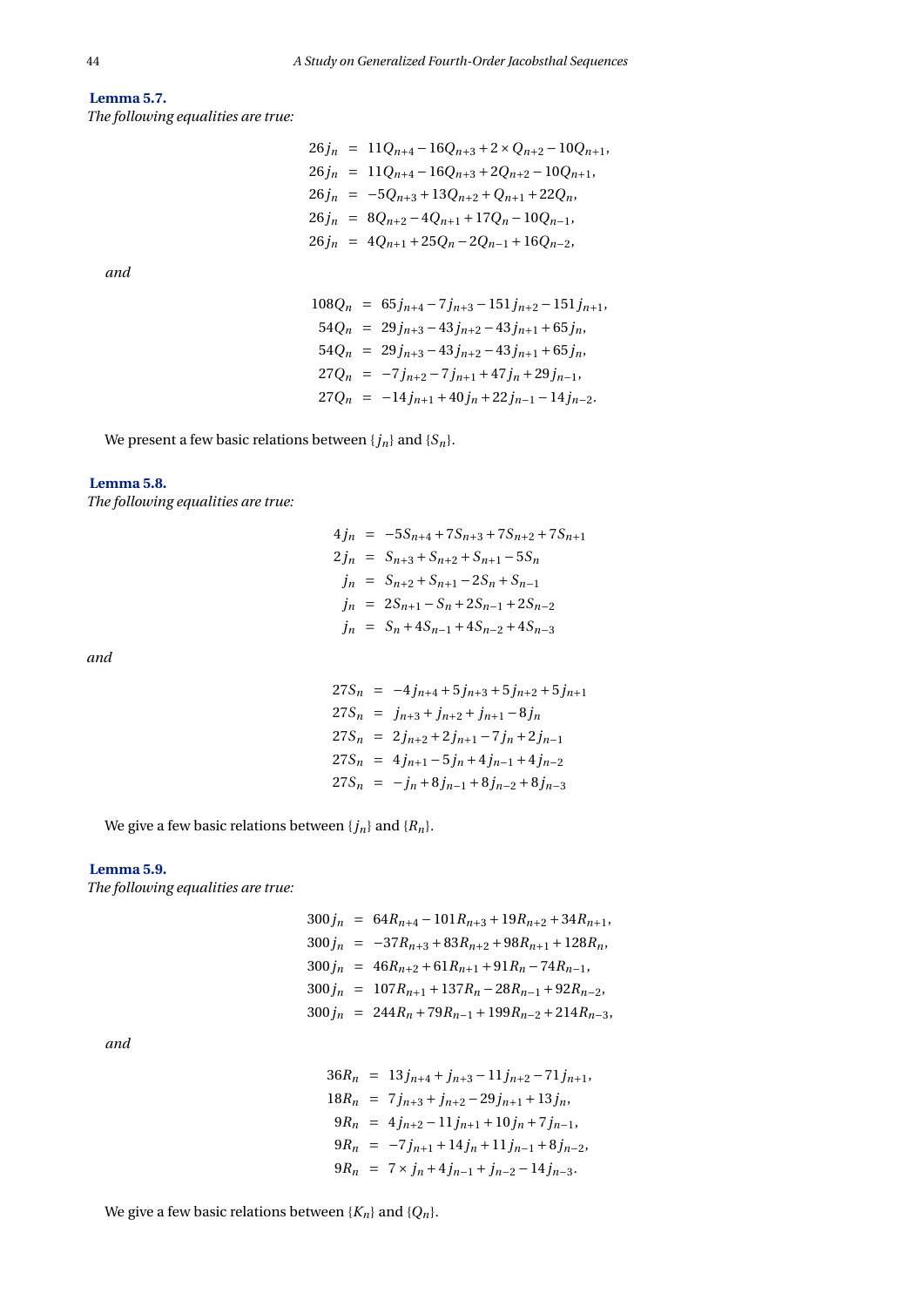## **Lemma 5.7.** *The following equalities are true:*

$$
26j_n = 11Q_{n+4} - 16Q_{n+3} + 2 \times Q_{n+2} - 10Q_{n+1},
$$
  
\n
$$
26j_n = 11Q_{n+4} - 16Q_{n+3} + 2Q_{n+2} - 10Q_{n+1},
$$
  
\n
$$
26j_n = -5Q_{n+3} + 13Q_{n+2} + Q_{n+1} + 22Q_n,
$$
  
\n
$$
26j_n = 8Q_{n+2} - 4Q_{n+1} + 17Q_n - 10Q_{n-1},
$$
  
\n
$$
26j_n = 4Q_{n+1} + 25Q_n - 2Q_{n-1} + 16Q_{n-2},
$$

*and*

$$
108Q_n = 65j_{n+4} - 7j_{n+3} - 151j_{n+2} - 151j_{n+1},
$$
  
\n
$$
54Q_n = 29j_{n+3} - 43j_{n+2} - 43j_{n+1} + 65j_n,
$$
  
\n
$$
54Q_n = 29j_{n+3} - 43j_{n+2} - 43j_{n+1} + 65j_n,
$$
  
\n
$$
27Q_n = -7j_{n+2} - 7j_{n+1} + 47j_n + 29j_{n-1},
$$
  
\n
$$
27Q_n = -14j_{n+1} + 40j_n + 22j_{n-1} - 14j_{n-2}.
$$

We present a few basic relations between  ${j_n}$  and  ${S_n}$ .

## **Lemma 5.8.**

*The following equalities are true:*

$$
4j_n = -5S_{n+4} + 7S_{n+3} + 7S_{n+2} + 7S_{n+1}
$$
  
\n
$$
2j_n = S_{n+3} + S_{n+2} + S_{n+1} - 5S_n
$$
  
\n
$$
j_n = S_{n+2} + S_{n+1} - 2S_n + S_{n-1}
$$
  
\n
$$
j_n = 2S_{n+1} - S_n + 2S_{n-1} + 2S_{n-2}
$$
  
\n
$$
j_n = S_n + 4S_{n-1} + 4S_{n-2} + 4S_{n-3}
$$

*and*

$$
27S_n = -4j_{n+4} + 5j_{n+3} + 5j_{n+2} + 5j_{n+1}
$$
  
\n
$$
27S_n = j_{n+3} + j_{n+2} + j_{n+1} - 8j_n
$$
  
\n
$$
27S_n = 2j_{n+2} + 2j_{n+1} - 7j_n + 2j_{n-1}
$$
  
\n
$$
27S_n = 4j_{n+1} - 5j_n + 4j_{n-1} + 4j_{n-2}
$$
  
\n
$$
27S_n = -j_n + 8j_{n-1} + 8j_{n-2} + 8j_{n-3}
$$

We give a few basic relations between  ${j_n}$  and  ${R_n}$ .

### **Lemma 5.9.**

*The following equalities are true:*

$$
300j_n = 64R_{n+4} - 101R_{n+3} + 19R_{n+2} + 34R_{n+1},
$$
  
\n
$$
300j_n = -37R_{n+3} + 83R_{n+2} + 98R_{n+1} + 128R_n,
$$
  
\n
$$
300j_n = 46R_{n+2} + 61R_{n+1} + 91R_n - 74R_{n-1},
$$
  
\n
$$
300j_n = 107R_{n+1} + 137R_n - 28R_{n-1} + 92R_{n-2},
$$
  
\n
$$
300j_n = 244R_n + 79R_{n-1} + 199R_{n-2} + 214R_{n-3},
$$

*and*

$$
36R_n = 13j_{n+4} + j_{n+3} - 11j_{n+2} - 71j_{n+1},
$$
  
\n
$$
18R_n = 7j_{n+3} + j_{n+2} - 29j_{n+1} + 13j_n,
$$
  
\n
$$
9R_n = 4j_{n+2} - 11j_{n+1} + 10j_n + 7j_{n-1},
$$
  
\n
$$
9R_n = -7j_{n+1} + 14j_n + 11j_{n-1} + 8j_{n-2},
$$
  
\n
$$
9R_n = 7 \times j_n + 4j_{n-1} + j_{n-2} - 14j_{n-3}.
$$

We give a few basic relations between  $\{K_n\}$  and  $\{Q_n\}$ .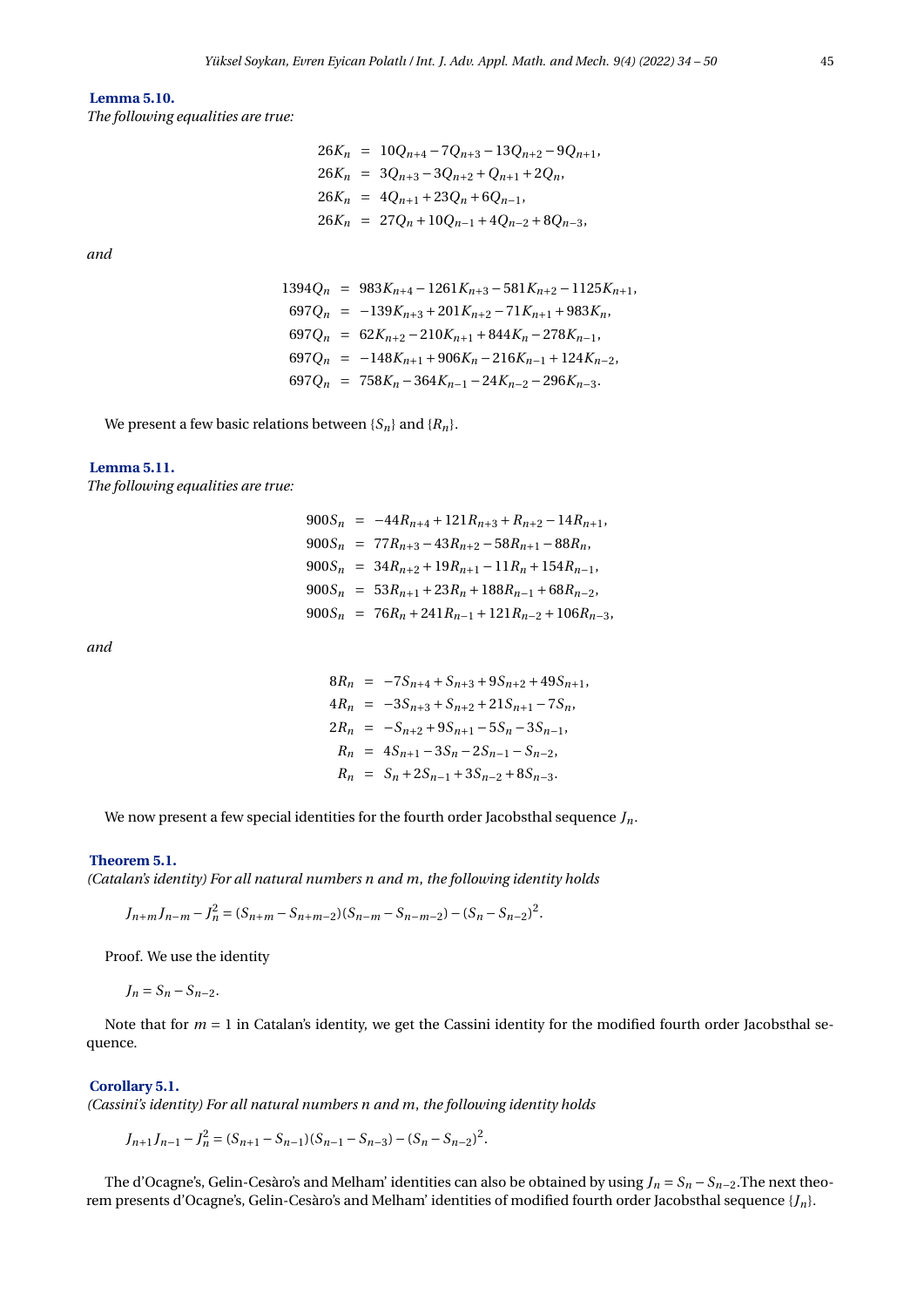#### **Lemma 5.10.**

*The following equalities are true:*

*and*

$$
26K_n = 10Q_{n+4} - 7Q_{n+3} - 13Q_{n+2} - 9Q_{n+1},
$$
  
\n
$$
26K_n = 3Q_{n+3} - 3Q_{n+2} + Q_{n+1} + 2Q_n,
$$
  
\n
$$
26K_n = 4Q_{n+1} + 23Q_n + 6Q_{n-1},
$$
  
\n
$$
26K_n = 27Q_n + 10Q_{n-1} + 4Q_{n-2} + 8Q_{n-3},
$$

$$
1394Q_n = 983K_{n+4} - 1261K_{n+3} - 581K_{n+2} - 1125K_{n+1},
$$
  
\n
$$
697Q_n = -139K_{n+3} + 201K_{n+2} - 71K_{n+1} + 983K_n,
$$
  
\n
$$
697Q_n = 62K_{n+2} - 210K_{n+1} + 844K_n - 278K_{n-1},
$$
  
\n
$$
697Q_n = -148K_{n+1} + 906K_n - 216K_{n-1} + 124K_{n-2},
$$
  
\n
$$
697Q_n = 758K_n - 364K_{n-1} - 24K_{n-2} - 296K_{n-3}.
$$

We present a few basic relations between  ${S_n}$  and  ${R_n}$ .

#### **Lemma 5.11.**

*The following equalities are true:*

 $900S_n = -44R_{n+4} + 121R_{n+3} + R_{n+2} - 14R_{n+1}$  $900S_n = 77R_{n+3} - 43R_{n+2} - 58R_{n+1} - 88R_n$  $900S_n = 34R_{n+2} + 19R_{n+1} - 11R_n + 154R_{n-1}$  $900S_n = 53R_{n+1} + 23R_n + 188R_{n-1} + 68R_{n-2}$  $900S_n = 76R_n + 241R_{n-1} + 121R_{n-2} + 106R_{n-3}$ 

*and*

$$
8R_n = -7S_{n+4} + S_{n+3} + 9S_{n+2} + 49S_{n+1},
$$
  
\n
$$
4R_n = -3S_{n+3} + S_{n+2} + 21S_{n+1} - 7S_n,
$$
  
\n
$$
2R_n = -S_{n+2} + 9S_{n+1} - 5S_n - 3S_{n-1},
$$
  
\n
$$
R_n = 4S_{n+1} - 3S_n - 2S_{n-1} - S_{n-2},
$$
  
\n
$$
R_n = S_n + 2S_{n-1} + 3S_{n-2} + 8S_{n-3}.
$$

We now present a few special identities for the fourth order Jacobsthal sequence *Jn*.

#### **Theorem 5.1.**

*(Catalan's identity) For all natural numbers n and m*, *the following identity holds*

 $J_{n+m}J_{n-m} - J_n^2 = (S_{n+m} - S_{n+m-2})(S_{n-m} - S_{n-m-2}) - (S_n - S_{n-2})^2$ .

Proof. We use the identity

 $J_n = S_n - S_{n-2}$ .

Note that for 
$$
m = 1
$$
 in Catalan's identity, we get the Cassini identity for the modified fourth order Jacobsthal sequence.

#### **Corollary 5.1.**

*(Cassini's identity) For all natural numbers n and m*, *the following identity holds*

 $J_{n+1}J_{n-1} - J_n^2 = (S_{n+1} - S_{n-1})(S_{n-1} - S_{n-3}) - (S_n - S_{n-2})^2$ .

The d'Ocagne's, Gelin-Cesàro's and Melham' identities can also be obtained by using  $J_n = S_n - S_{n-2}$ . The next theorem presents d'Ocagne's, Gelin-Cesàro's and Melham' identities of modified fourth order Jacobsthal sequence {*Jn*}.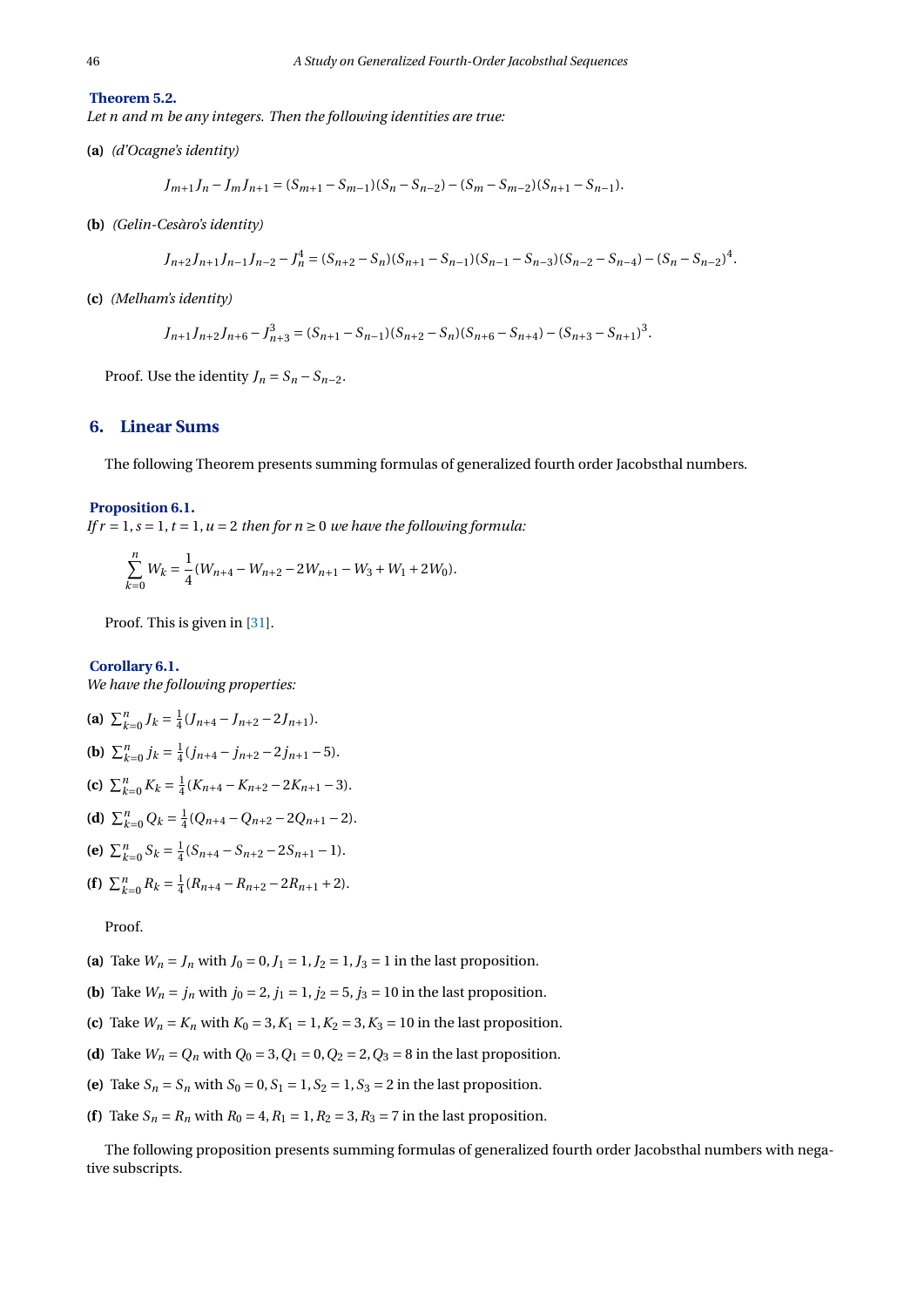**Theorem 5.2.**

*Let n and m be any integers. Then the following identities are true:*

**(a)** *(d'Ocagne's identity)*

$$
J_{m+1}J_n - J_m J_{n+1} = (S_{m+1} - S_{m-1})(S_n - S_{n-2}) - (S_m - S_{m-2})(S_{n+1} - S_{n-1}).
$$

**(b)** *(Gelin-Cesàro's identity)*

$$
J_{n+2}J_{n+1}J_{n-1}J_{n-2}-J_n^4=(S_{n+2}-S_n)(S_{n+1}-S_{n-1})(S_{n-1}-S_{n-3})(S_{n-2}-S_{n-4})-(S_n-S_{n-2})^4.
$$

**(c)** *(Melham's identity)*

$$
J_{n+1}J_{n+2}J_{n+6}-J_{n+3}^3=(S_{n+1}-S_{n-1})(S_{n+2}-S_n)(S_{n+6}-S_{n+4})-(S_{n+3}-S_{n+1})^3.
$$

Proof. Use the identity  $J_n = S_n - S_{n-2}$ .

#### **6. Linear Sums**

The following Theorem presents summing formulas of generalized fourth order Jacobsthal numbers.

#### **Proposition 6.1.**

*If*  $r = 1$ ,  $s = 1$ ,  $t = 1$ ,  $u = 2$  *then for n*  $\ge 0$  *we have the following formula:* 

$$
\sum_{k=0}^{n} W_k = \frac{1}{4} (W_{n+4} - W_{n+2} - 2W_{n+1} - W_3 + W_1 + 2W_0).
$$

Proof. This is given in [\[31\]](#page-16-15).

**Corollary 6.1.** *We have the following properties:*

(a) 
$$
\sum_{k=0}^{n} J_k = \frac{1}{4} (J_{n+4} - J_{n+2} - 2J_{n+1}).
$$
  
\n(b)  $\sum_{k=0}^{n} j_k = \frac{1}{4} (j_{n+4} - j_{n+2} - 2j_{n+1} - 5).$   
\n(c)  $\sum_{k=0}^{n} K_k = \frac{1}{4} (K_{n+4} - K_{n+2} - 2K_{n+1} - 3).$ 

- **(d)**  $\sum_{k=0}^{n} Q_k = \frac{1}{4} (Q_{n+4} Q_{n+2} 2Q_{n+1} 2).$
- **(e)**  $\sum_{k=0}^{n} S_k = \frac{1}{4} (S_{n+4} S_{n+2} 2S_{n+1} 1).$
- **(f)**  $\sum_{k=0}^{n} R_k = \frac{1}{4} (R_{n+4} R_{n+2} 2R_{n+1} + 2).$

Proof.

- (a) Take  $W_n = J_n$  with  $J_0 = 0, J_1 = 1, J_2 = 1, J_3 = 1$  in the last proposition.
- **(b)** Take  $W_n = j_n$  with  $j_0 = 2$ ,  $j_1 = 1$ ,  $j_2 = 5$ ,  $j_3 = 10$  in the last proposition.
- **(c)** Take  $W_n = K_n$  with  $K_0 = 3, K_1 = 1, K_2 = 3, K_3 = 10$  in the last proposition.
- **(d)** Take  $W_n = Q_n$  with  $Q_0 = 3$ ,  $Q_1 = 0$ ,  $Q_2 = 2$ ,  $Q_3 = 8$  in the last proposition.
- (e) Take  $S_n = S_n$  with  $S_0 = 0$ ,  $S_1 = 1$ ,  $S_2 = 1$ ,  $S_3 = 2$  in the last proposition.
- **(f)** Take  $S_n = R_n$  with  $R_0 = 4, R_1 = 1, R_2 = 3, R_3 = 7$  in the last proposition.

The following proposition presents summing formulas of generalized fourth order Jacobsthal numbers with negative subscripts.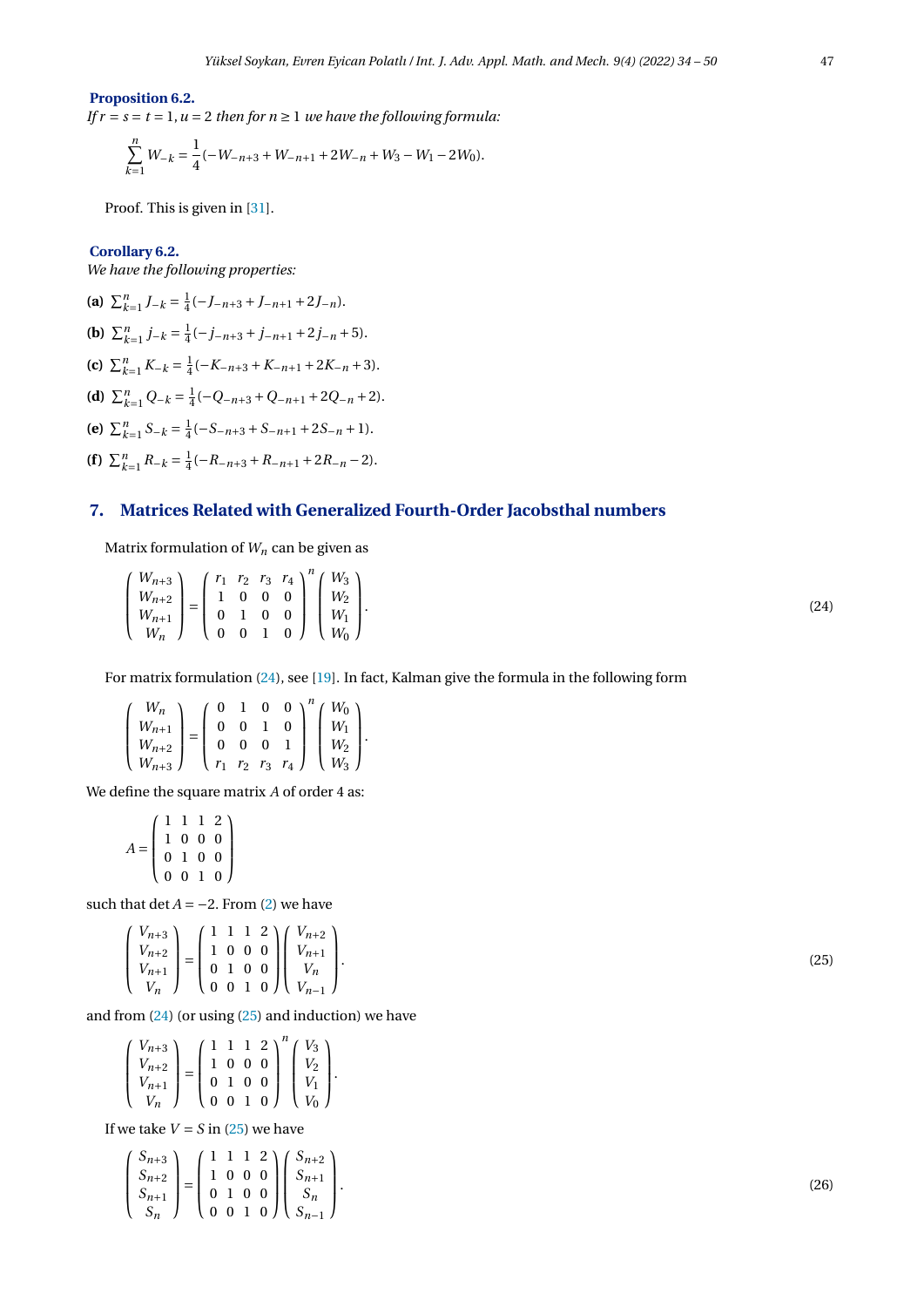#### **Proposition 6.2.**

*If*  $r = s = t = 1$ ,  $u = 2$  *then for*  $n \ge 1$  *we have the following formula:* 

$$
\sum_{k=1}^{n} W_{-k} = \frac{1}{4}(-W_{-n+3} + W_{-n+1} + 2W_{-n} + W_3 - W_1 - 2W_0).
$$

Proof. This is given in [\[31\]](#page-16-15).

#### **Corollary 6.2.**

 $\sqrt{ }$ L L L

*We have the following properties:*

(a)  $\sum_{k=1}^{n} J_{-k} = \frac{1}{4}(-J_{-n+3} + J_{-n+1} + 2J_{-n}).$ **(b)**  $\sum_{k=1}^{n} j_{-k} = \frac{1}{4}(-j_{-n+3} + j_{-n+1} + 2j_{-n} + 5).$ **(c)**  $\sum_{k=1}^{n} K_{-k} = \frac{1}{4}(-K_{-n+3} + K_{-n+1} + 2K_{-n} + 3).$ **(d)**  $\sum_{k=1}^{n} Q_{-k} = \frac{1}{4}(-Q_{-n+3} + Q_{-n+1} + 2Q_{-n} + 2).$ **(e)**  $\sum_{k=1}^{n} S_{-k} = \frac{1}{4}(-S_{-n+3} + S_{-n+1} + 2S_{-n} + 1).$ **(f)**  $\sum_{k=1}^{n} R_{-k} = \frac{1}{4}(-R_{-n+3} + R_{-n+1} + 2R_{-n} - 2).$ 

## **7. Matrices Related with Generalized Fourth-Order Jacobsthal numbers**

Matrix formulation of  $W_n$  can be given as

<span id="page-13-0"></span>

|--|

For matrix formulation [\(24\)](#page-13-0), see [\[19\]](#page-16-16). In fact, Kalman give the formula in the following form

$$
\left(\begin{array}{c} W_n \\ W_{n+1} \\ W_{n+2} \\ W_{n+3} \end{array}\right) = \left(\begin{array}{cccc} 0 & 1 & 0 & 0 \\ 0 & 0 & 1 & 0 \\ 0 & 0 & 0 & 1 \\ r_1 & r_2 & r_3 & r_4 \end{array}\right)^n \left(\begin{array}{c} W_0 \\ W_1 \\ W_2 \\ W_3 \end{array}\right).
$$

We define the square matrix *A* of order 4 as:

$$
A = \left(\begin{array}{rrr} 1 & 1 & 1 & 2 \\ 1 & 0 & 0 & 0 \\ 0 & 1 & 0 & 0 \\ 0 & 0 & 1 & 0 \end{array}\right)
$$

such that  $\det A = -2$ . From [\(2\)](#page-1-0) we have

$$
\begin{pmatrix} V_{n+3} \\ V_{n+2} \\ V_{n+1} \\ V_n \end{pmatrix} = \begin{pmatrix} 1 & 1 & 1 & 2 \\ 1 & 0 & 0 & 0 \\ 0 & 1 & 0 & 0 \\ 0 & 0 & 1 & 0 \end{pmatrix} \begin{pmatrix} V_{n+2} \\ V_{n+1} \\ V_n \\ V_{n-1} \end{pmatrix}
$$

and from  $(24)$  (or using  $(25)$  and induction) we have

<span id="page-13-2"></span>.

| $V_{n+3}$              |  |  | $(1\;1\;1\;2)'$                  | $V_3$                                         |  |
|------------------------|--|--|----------------------------------|-----------------------------------------------|--|
| $V_{n+2}$<br>$V_{n+1}$ |  |  | 1000<br>$0\quad 1\quad 0\quad 0$ | $V_2$<br>$V_1$                                |  |
| $V_n$                  |  |  | (0010)                           | $\left(\begin{array}{c}V_0\end{array}\right)$ |  |

If we take  $V = S$  in [\(25\)](#page-13-1) we have

$$
\begin{pmatrix} S_{n+3} \\ S_{n+2} \\ S_{n+1} \\ S_n \end{pmatrix} = \begin{pmatrix} 1 & 1 & 1 & 2 \\ 1 & 0 & 0 & 0 \\ 0 & 1 & 0 & 0 \\ 0 & 0 & 1 & 0 \end{pmatrix} \begin{pmatrix} S_{n+2} \\ S_{n+1} \\ S_n \\ S_{n-1} \end{pmatrix}.
$$

<span id="page-13-1"></span>.  $(25)$ 

.  $(26)$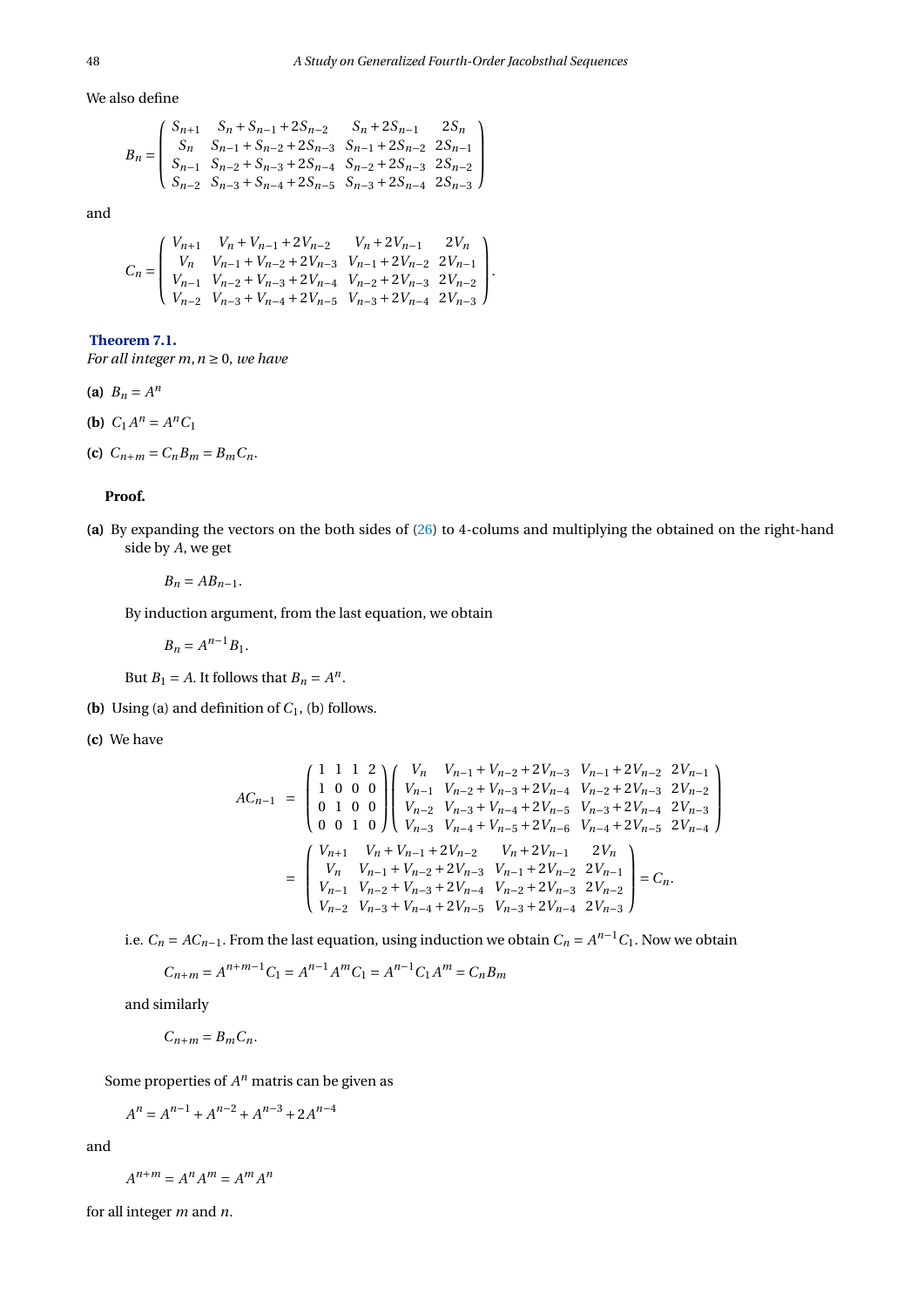We also define

$$
B_n = \begin{pmatrix} S_{n+1} & S_n + S_{n-1} + 2S_{n-2} & S_n + 2S_{n-1} & 2S_n \\ S_n & S_{n-1} + S_{n-2} + 2S_{n-3} & S_{n-1} + 2S_{n-2} & 2S_{n-1} \\ S_{n-1} & S_{n-2} + S_{n-3} + 2S_{n-4} & S_{n-2} + 2S_{n-3} & 2S_{n-2} \\ S_{n-2} & S_{n-3} + S_{n-4} + 2S_{n-5} & S_{n-3} + 2S_{n-4} & 2S_{n-3} \end{pmatrix}
$$

and

$$
C_n=\left(\begin{array}{cccc} V_{n+1} & V_n+V_{n-1}+2V_{n-2} & V_n+2V_{n-1} & 2V_n \\ V_n & V_{n-1}+V_{n-2}+2V_{n-3} & V_{n-1}+2V_{n-2} & 2V_{n-1} \\ V_{n-1} & V_{n-2}+V_{n-3}+2V_{n-4} & V_{n-2}+2V_{n-3} & 2V_{n-2} \\ V_{n-2} & V_{n-3}+V_{n-4}+2V_{n-5} & V_{n-3}+2V_{n-4} & 2V_{n-3} \end{array}\right).
$$

### **Theorem 7.1.**

*For all integer m,*  $n \geq 0$ *, we have* 

- (a)  $B_n = A^n$
- **(b)**  $C_1 A^n = A^n C_1$
- **(c)**  $C_{n+m} = C_n B_m = B_m C_n$ .

#### **Proof.**

**(a)** By expanding the vectors on the both sides of [\(26\)](#page-13-2) to 4-colums and multiplying the obtained on the right-hand side by *A*, we get

$$
B_n=AB_{n-1}.
$$

By induction argument, from the last equation, we obtain

$$
B_n = A^{n-1} B_1.
$$

But *B*<sub>1</sub> = *A*. It follows that *B*<sub>*n*</sub> =  $A^n$ .

- **(b)** Using (a) and definition of  $C_1$ , (b) follows.
- **(c)** We have

$$
AC_{n-1} = \begin{pmatrix} 1 & 1 & 1 & 2 \\ 1 & 0 & 0 & 0 \\ 0 & 1 & 0 & 0 \\ 0 & 0 & 1 & 0 \end{pmatrix} \begin{pmatrix} V_n & V_{n-1} + V_{n-2} + 2V_{n-3} & V_{n-1} + 2V_{n-2} & 2V_{n-1} \\ V_{n-1} & V_{n-2} + V_{n-3} + 2V_{n-4} & V_{n-2} + 2V_{n-3} & 2V_{n-2} \\ V_{n-2} & V_{n-3} + V_{n-4} + 2V_{n-5} & V_{n-3} + 2V_{n-4} & 2V_{n-3} \\ V_{n-3} & V_{n-4} + V_{n-5} + 2V_{n-6} & V_{n-4} + 2V_{n-5} & 2V_{n-4} \end{pmatrix}
$$

$$
= \begin{pmatrix} V_{n+1} & V_n + V_{n-1} + 2V_{n-2} & V_n + 2V_{n-1} & 2V_n \\ V_n & V_{n-1} + V_{n-2} + 2V_{n-3} & V_{n-1} + 2V_{n-2} & 2V_{n-1} \\ V_{n-1} & V_{n-2} + V_{n-3} + 2V_{n-4} & V_{n-2} + 2V_{n-3} & 2V_{n-2} \\ V_{n-2} & V_{n-3} + V_{n-4} + 2V_{n-5} & V_{n-3} + 2V_{n-4} & 2V_{n-3} \end{pmatrix} = C_n.
$$

i.e.  $C_n = AC_{n-1}$ . From the last equation, using induction we obtain  $C_n = A^{n-1}C_1$ . Now we obtain

$$
C_{n+m} = A^{n+m-1}C_1 = A^{n-1}A^m C_1 = A^{n-1}C_1A^m = C_nB_m
$$

and similarly

$$
C_{n+m}=B_m C_n.
$$

Some properties of  $A<sup>n</sup>$  matris can be given as

$$
A^{n} = A^{n-1} + A^{n-2} + A^{n-3} + 2A^{n-4}
$$

and

$$
A^{n+m} = A^n A^m = A^m A^n
$$

for all integer *m* and *n*.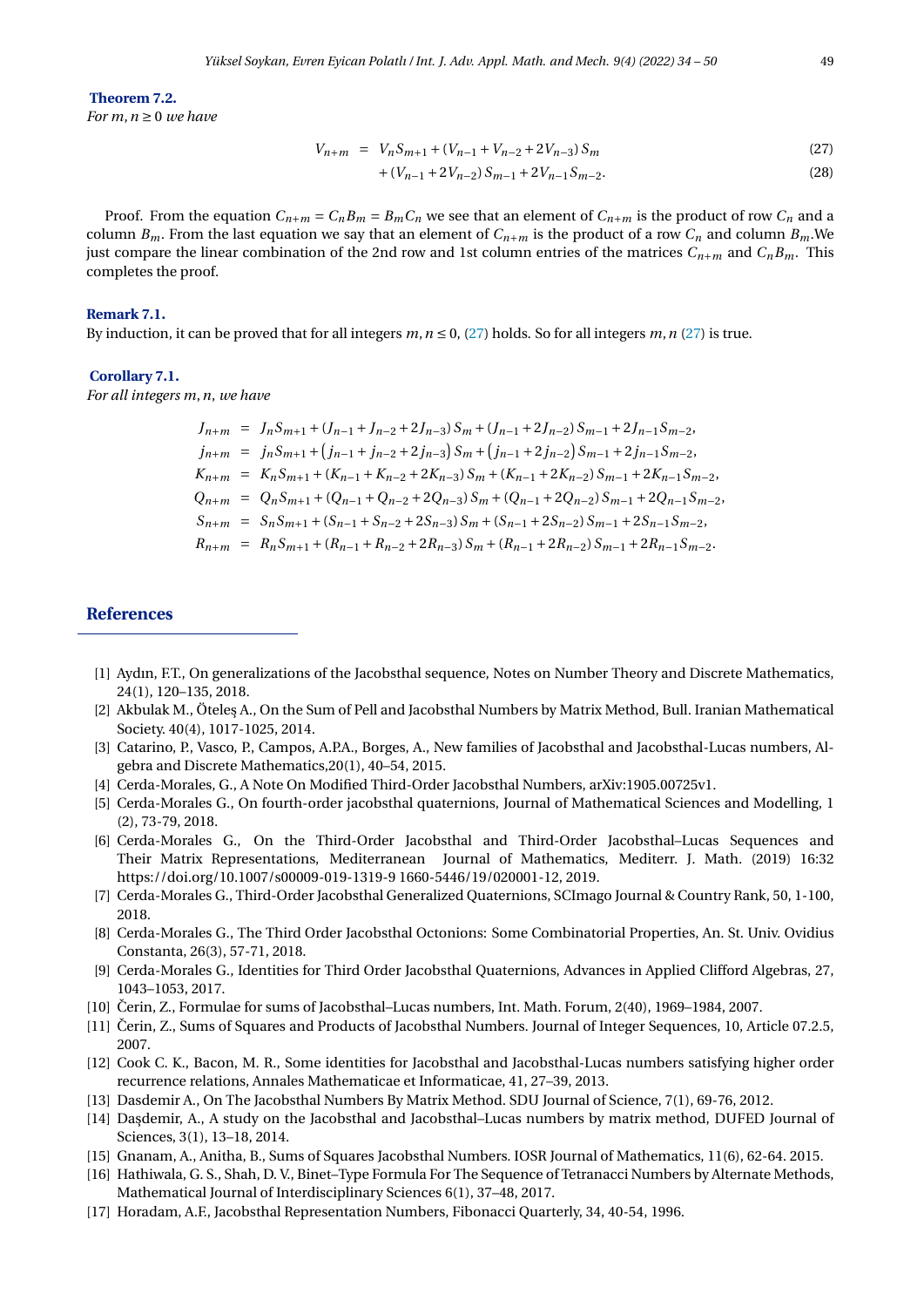**Theorem 7.2.**

*For*  $m, n \geq 0$  *we have* 

<span id="page-15-10"></span>
$$
V_{n+m} = V_n S_{m+1} + (V_{n-1} + V_{n-2} + 2V_{n-3}) S_m
$$
\n(27)

$$
+(V_{n-1}+2V_{n-2})S_{m-1}+2V_{n-1}S_{m-2}.
$$
\n(28)

Proof. From the equation  $C_{n+m} = C_n B_m = B_m C_n$  we see that an element of  $C_{n+m}$  is the product of row  $C_n$  and a column  $B_m$ . From the last equation we say that an element of  $C_{n+m}$  is the product of a row  $C_n$  and column  $B_m$ . We just compare the linear combination of the 2nd row and 1st column entries of the matrices  $C_{n+m}$  and  $C_nB_m$ . This completes the proof.

#### **Remark 7.1.**

By induction, it can be proved that for all integers  $m, n \le 0$ , [\(27\)](#page-15-10) holds. So for all integers  $m, n$  (27) is true.

#### **Corollary 7.1.**

*For all integers m*,*n*, *we have*

$$
J_{n+m} = J_n S_{m+1} + (J_{n-1} + J_{n-2} + 2J_{n-3}) S_m + (J_{n-1} + 2J_{n-2}) S_{m-1} + 2J_{n-1} S_{m-2},
$$
  
\n
$$
j_{n+m} = j_n S_{m+1} + (j_{n-1} + j_{n-2} + 2j_{n-3}) S_m + (j_{n-1} + 2j_{n-2}) S_{m-1} + 2j_{n-1} S_{m-2},
$$
  
\n
$$
K_{n+m} = K_n S_{m+1} + (K_{n-1} + K_{n-2} + 2K_{n-3}) S_m + (K_{n-1} + 2K_{n-2}) S_{m-1} + 2K_{n-1} S_{m-2},
$$
  
\n
$$
Q_{n+m} = Q_n S_{m+1} + (Q_{n-1} + Q_{n-2} + 2Q_{n-3}) S_m + (Q_{n-1} + 2Q_{n-2}) S_{m-1} + 2Q_{n-1} S_{m-2},
$$
  
\n
$$
S_{n+m} = S_n S_{m+1} + (S_{n-1} + S_{n-2} + 2S_{n-3}) S_m + (S_{n-1} + 2S_{n-2}) S_{m-1} + 2S_{n-1} S_{m-2},
$$
  
\n
$$
R_{n+m} = R_n S_{m+1} + (R_{n-1} + R_{n-2} + 2R_{n-3}) S_m + (R_{n-1} + 2R_{n-2}) S_{m-1} + 2R_{n-1} S_{m-2}.
$$

## **References**

- <span id="page-15-0"></span>[1] Aydın, F.T., On generalizations of the Jacobsthal sequence, Notes on Number Theory and Discrete Mathematics, 24(1), 120–135, 2018.
- [2] Akbulak M., Ötele¸s A., On the Sum of Pell and Jacobsthal Numbers by Matrix Method, Bull. Iranian Mathematical Society. 40(4), 1017-1025, 2014.
- <span id="page-15-1"></span>[3] Catarino, P., Vasco, P., Campos, A.P.A., Borges, A., New families of Jacobsthal and Jacobsthal-Lucas numbers, Algebra and Discrete Mathematics,20(1), 40–54, 2015.
- <span id="page-15-6"></span>[4] Cerda-Morales, G., A Note On Modified Third-Order Jacobsthal Numbers, arXiv:1905.00725v1.
- [5] Cerda-Morales G., On fourth-order jacobsthal quaternions, Journal of Mathematical Sciences and Modelling, 1 (2), 73-79, 2018.
- [6] Cerda-Morales G., On the Third-Order Jacobsthal and Third-Order Jacobsthal–Lucas Sequences and Their Matrix Representations, Mediterranean Journal of Mathematics, Mediterr. J. Math. (2019) 16:32 https://doi.org/10.1007/s00009-019-1319-9 1660-5446/19/020001-12, 2019.
- [7] Cerda-Morales G., Third-Order Jacobsthal Generalized Quaternions, SCImago Journal & Country Rank, 50, 1-100, 2018.
- [8] Cerda-Morales G., The Third Order Jacobsthal Octonions: Some Combinatorial Properties, An. St. Univ. Ovidius Constanta, 26(3), 57-71, 2018.
- <span id="page-15-7"></span>[9] Cerda-Morales G., Identities for Third Order Jacobsthal Quaternions, Advances in Applied Clifford Algebras, 27, 1043–1053, 2017.
- <span id="page-15-2"></span>[10] Čerin, Z., Formulae for sums of Jacobsthal–Lucas numbers, Int. Math. Forum,  $2(40)$ , 1969–1984, 2007.
- [11] Čerin, Z., Sums of Squares and Products of Jacobsthal Numbers. Journal of Integer Sequences, 10, Article 07.2.5, 2007.
- <span id="page-15-8"></span>[12] Cook C. K., Bacon, M. R., Some identities for Jacobsthal and Jacobsthal-Lucas numbers satisfying higher order recurrence relations, Annales Mathematicae et Informaticae, 41, 27–39, 2013.
- [13] Dasdemir A., On The Jacobsthal Numbers By Matrix Method. SDU Journal of Science, 7(1), 69-76, 2012.
- <span id="page-15-3"></span>[14] Daşdemir, A., A study on the Jacobsthal and Jacobsthal–Lucas numbers by matrix method, DUFED Journal of Sciences, 3(1), 13–18, 2014.
- <span id="page-15-4"></span>[15] Gnanam, A., Anitha, B., Sums of Squares Jacobsthal Numbers. IOSR Journal of Mathematics, 11(6), 62-64. 2015.
- <span id="page-15-9"></span>[16] Hathiwala, G. S., Shah, D. V., Binet–Type Formula For The Sequence of Tetranacci Numbers by Alternate Methods, Mathematical Journal of Interdisciplinary Sciences 6(1), 37–48, 2017.
- <span id="page-15-5"></span>[17] Horadam, A.F., Jacobsthal Representation Numbers, Fibonacci Quarterly, 34, 40-54, 1996.